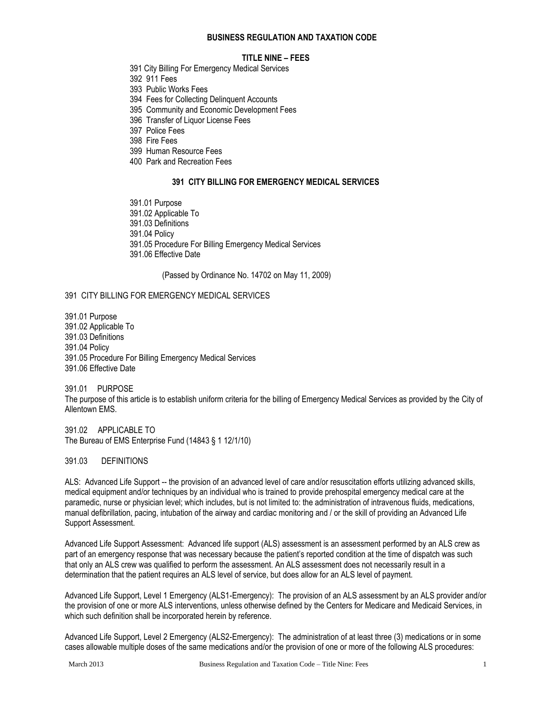#### **BUSINESS REGULATION AND TAXATION CODE**

#### **TITLE NINE – FEES**

- 391 City Billing For Emergency Medical Services
- 392 911 Fees
- 393 Public Works Fees
- 394 Fees for Collecting Delinquent Accounts
- 395 Community and Economic Development Fees
- 396 Transfer of Liquor License Fees
- 397 Police Fees
- 398 Fire Fees
- 399 Human Resource Fees
- 400 Park and Recreation Fees

#### **391 CITY BILLING FOR EMERGENCY MEDICAL SERVICES**

391.01 Purpose 391.02 Applicable To 391.03 Definitions 391.04 Policy 391.05 Procedure For Billing Emergency Medical Services 391.06 Effective Date

(Passed by Ordinance No. 14702 on May 11, 2009)

#### 391 CITY BILLING FOR EMERGENCY MEDICAL SERVICES

391.01 Purpose 391.02 Applicable To 391.03 Definitions 391.04 Policy 391.05 Procedure For Billing Emergency Medical Services 391.06 Effective Date

391.01 PURPOSE The purpose of this article is to establish uniform criteria for the billing of Emergency Medical Services as provided by the City of Allentown EMS.

391.02 APPLICABLE TO The Bureau of EMS Enterprise Fund (14843 § 1 12/1/10)

391.03 DEFINITIONS

ALS: Advanced Life Support -- the provision of an advanced level of care and/or resuscitation efforts utilizing advanced skills, medical equipment and/or techniques by an individual who is trained to provide prehospital emergency medical care at the paramedic, nurse or physician level; which includes, but is not limited to: the administration of intravenous fluids, medications, manual defibrillation, pacing, intubation of the airway and cardiac monitoring and / or the skill of providing an Advanced Life Support Assessment.

Advanced Life Support Assessment: Advanced life support (ALS) assessment is an assessment performed by an ALS crew as part of an emergency response that was necessary because the patient's reported condition at the time of dispatch was such that only an ALS crew was qualified to perform the assessment. An ALS assessment does not necessarily result in a determination that the patient requires an ALS level of service, but does allow for an ALS level of payment.

Advanced Life Support, Level 1 Emergency (ALS1-Emergency): The provision of an ALS assessment by an ALS provider and/or the provision of one or more ALS interventions, unless otherwise defined by the Centers for Medicare and Medicaid Services, in which such definition shall be incorporated herein by reference.

Advanced Life Support, Level 2 Emergency (ALS2-Emergency): The administration of at least three (3) medications or in some cases allowable multiple doses of the same medications and/or the provision of one or more of the following ALS procedures: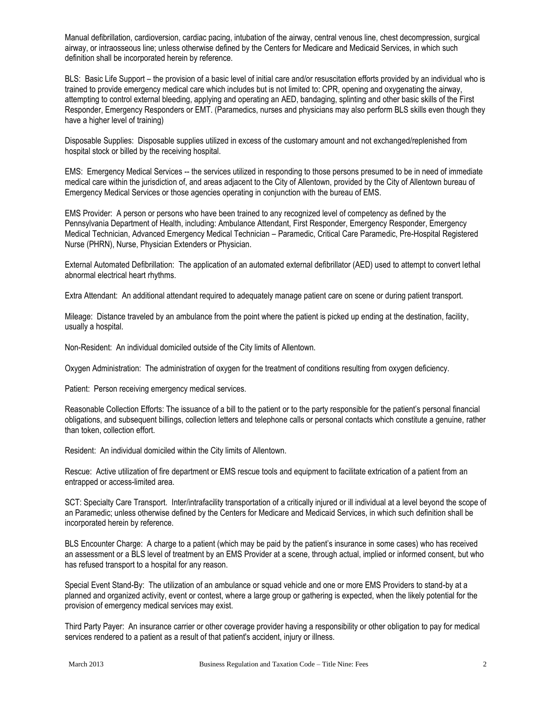Manual defibrillation, cardioversion, cardiac pacing, intubation of the airway, central venous line, chest decompression, surgical airway, or intraosseous line; unless otherwise defined by the Centers for Medicare and Medicaid Services, in which such definition shall be incorporated herein by reference.

BLS: Basic Life Support – the provision of a basic level of initial care and/or resuscitation efforts provided by an individual who is trained to provide emergency medical care which includes but is not limited to: CPR, opening and oxygenating the airway, attempting to control external bleeding, applying and operating an AED, bandaging, splinting and other basic skills of the First Responder, Emergency Responders or EMT. (Paramedics, nurses and physicians may also perform BLS skills even though they have a higher level of training)

Disposable Supplies: Disposable supplies utilized in excess of the customary amount and not exchanged/replenished from hospital stock or billed by the receiving hospital.

EMS: Emergency Medical Services -- the services utilized in responding to those persons presumed to be in need of immediate medical care within the jurisdiction of, and areas adjacent to the City of Allentown, provided by the City of Allentown bureau of Emergency Medical Services or those agencies operating in conjunction with the bureau of EMS.

EMS Provider: A person or persons who have been trained to any recognized level of competency as defined by the Pennsylvania Department of Health, including: Ambulance Attendant, First Responder, Emergency Responder, Emergency Medical Technician, Advanced Emergency Medical Technician – Paramedic, Critical Care Paramedic, Pre-Hospital Registered Nurse (PHRN), Nurse, Physician Extenders or Physician.

External Automated Defibrillation: The application of an automated external defibrillator (AED) used to attempt to convert lethal abnormal electrical heart rhythms.

Extra Attendant: An additional attendant required to adequately manage patient care on scene or during patient transport.

Mileage: Distance traveled by an ambulance from the point where the patient is picked up ending at the destination, facility, usually a hospital.

Non-Resident: An individual domiciled outside of the City limits of Allentown.

Oxygen Administration: The administration of oxygen for the treatment of conditions resulting from oxygen deficiency.

Patient: Person receiving emergency medical services.

Reasonable Collection Efforts: The issuance of a bill to the patient or to the party responsible for the patient's personal financial obligations, and subsequent billings, collection letters and telephone calls or personal contacts which constitute a genuine, rather than token, collection effort.

Resident: An individual domiciled within the City limits of Allentown.

Rescue: Active utilization of fire department or EMS rescue tools and equipment to facilitate extrication of a patient from an entrapped or access-limited area.

SCT: Specialty Care Transport. Inter/intrafacility transportation of a critically injured or ill individual at a level beyond the scope of an Paramedic; unless otherwise defined by the Centers for Medicare and Medicaid Services, in which such definition shall be incorporated herein by reference.

BLS Encounter Charge: A charge to a patient (which may be paid by the patient's insurance in some cases) who has received an assessment or a BLS level of treatment by an EMS Provider at a scene, through actual, implied or informed consent, but who has refused transport to a hospital for any reason.

Special Event Stand-By: The utilization of an ambulance or squad vehicle and one or more EMS Providers to stand-by at a planned and organized activity, event or contest, where a large group or gathering is expected, when the likely potential for the provision of emergency medical services may exist.

Third Party Payer: An insurance carrier or other coverage provider having a responsibility or other obligation to pay for medical services rendered to a patient as a result of that patient's accident, injury or illness.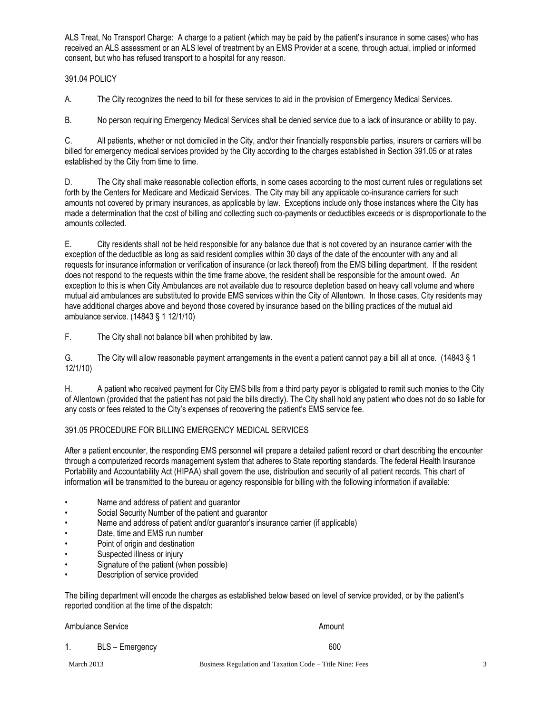ALS Treat, No Transport Charge: A charge to a patient (which may be paid by the patient's insurance in some cases) who has received an ALS assessment or an ALS level of treatment by an EMS Provider at a scene, through actual, implied or informed consent, but who has refused transport to a hospital for any reason.

## 391.04 POLICY

A. The City recognizes the need to bill for these services to aid in the provision of Emergency Medical Services.

B. No person requiring Emergency Medical Services shall be denied service due to a lack of insurance or ability to pay.

C. All patients, whether or not domiciled in the City, and/or their financially responsible parties, insurers or carriers will be billed for emergency medical services provided by the City according to the charges established in Section 391.05 or at rates established by the City from time to time.

D. The City shall make reasonable collection efforts, in some cases according to the most current rules or regulations set forth by the Centers for Medicare and Medicaid Services. The City may bill any applicable co-insurance carriers for such amounts not covered by primary insurances, as applicable by law. Exceptions include only those instances where the City has made a determination that the cost of billing and collecting such co-payments or deductibles exceeds or is disproportionate to the amounts collected.

E. City residents shall not be held responsible for any balance due that is not covered by an insurance carrier with the exception of the deductible as long as said resident complies within 30 days of the date of the encounter with any and all requests for insurance information or verification of insurance (or lack thereof) from the EMS billing department. If the resident does not respond to the requests within the time frame above, the resident shall be responsible for the amount owed. An exception to this is when City Ambulances are not available due to resource depletion based on heavy call volume and where mutual aid ambulances are substituted to provide EMS services within the City of Allentown. In those cases, City residents may have additional charges above and beyond those covered by insurance based on the billing practices of the mutual aid ambulance service. (14843 § 1 12/1/10)

F. The City shall not balance bill when prohibited by law.

G. The City will allow reasonable payment arrangements in the event a patient cannot pay a bill all at once. (14843 § 1 12/1/10)

H. A patient who received payment for City EMS bills from a third party payor is obligated to remit such monies to the City of Allentown (provided that the patient has not paid the bills directly). The City shall hold any patient who does not do so liable for any costs or fees related to the City's expenses of recovering the patient's EMS service fee.

## 391.05 PROCEDURE FOR BILLING EMERGENCY MEDICAL SERVICES

After a patient encounter, the responding EMS personnel will prepare a detailed patient record or chart describing the encounter through a computerized records management system that adheres to State reporting standards. The federal Health Insurance Portability and Accountability Act (HIPAA) shall govern the use, distribution and security of all patient records. This chart of information will be transmitted to the bureau or agency responsible for billing with the following information if available:

- Name and address of patient and guarantor
- Social Security Number of the patient and guarantor
- Name and address of patient and/or guarantor's insurance carrier (if applicable)
- Date, time and EMS run number
- Point of origin and destination
- Suspected illness or injury
- Signature of the patient (when possible)
- Description of service provided

The billing department will encode the charges as established below based on level of service provided, or by the patient's reported condition at the time of the dispatch:

| Ambulance Service |                 | Amount |
|-------------------|-----------------|--------|
|                   | BLS - Emergency | 600    |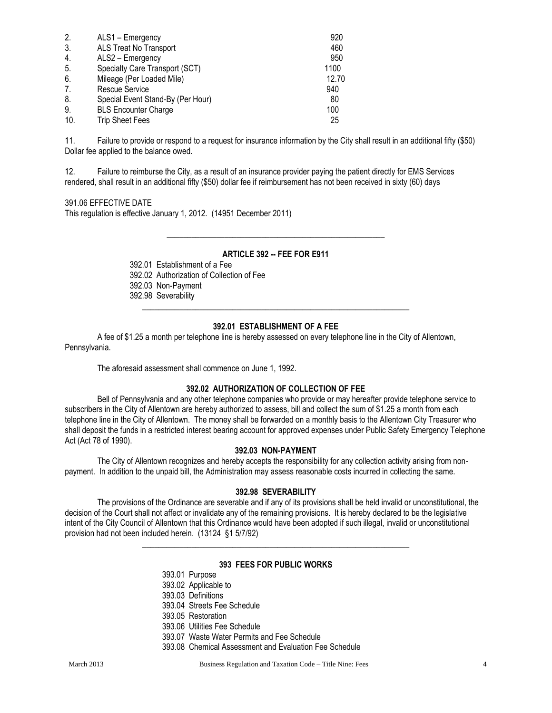| 2.  | ALS1 - Emergency                  | 920   |
|-----|-----------------------------------|-------|
| 3.  | ALS Treat No Transport            | 460   |
| 4.  | ALS2 - Emergency                  | 950   |
| 5.  | Specialty Care Transport (SCT)    | 1100  |
| 6.  | Mileage (Per Loaded Mile)         | 12.70 |
| 7.  | Rescue Service                    | 940   |
| 8.  | Special Event Stand-By (Per Hour) | 80    |
| 9.  | <b>BLS Encounter Charge</b>       | 100   |
| 10. | <b>Trip Sheet Fees</b>            | 25    |

11. Failure to provide or respond to a request for insurance information by the City shall result in an additional fifty (\$50) Dollar fee applied to the balance owed.

12. Failure to reimburse the City, as a result of an insurance provider paying the patient directly for EMS Services rendered, shall result in an additional fifty (\$50) dollar fee if reimbursement has not been received in sixty (60) days

#### 391.06 EFFECTIVE DATE

This regulation is effective January 1, 2012. (14951 December 2011)

## **ARTICLE 392 -- FEE FOR E911**

\_\_\_\_\_\_\_\_\_\_\_\_\_\_\_\_\_\_\_\_\_\_\_\_\_\_\_\_\_\_\_\_\_\_\_\_\_\_\_\_\_\_\_\_\_\_\_\_\_\_\_\_\_

392.01 Establishment of a Fee 392.02 Authorization of Collection of Fee 392.03 Non-Payment 392.98 Severability

## **392.01 ESTABLISHMENT OF A FEE**

**\_\_\_\_\_\_\_\_\_\_\_\_\_\_\_\_\_\_\_\_\_\_\_\_\_\_\_\_\_\_\_\_\_\_\_\_\_\_\_\_\_\_\_\_\_\_\_\_\_\_\_\_\_\_\_\_\_\_\_\_\_\_\_\_\_**

A fee of \$1.25 a month per telephone line is hereby assessed on every telephone line in the City of Allentown, Pennsylvania.

The aforesaid assessment shall commence on June 1, 1992.

#### **392.02 AUTHORIZATION OF COLLECTION OF FEE**

Bell of Pennsylvania and any other telephone companies who provide or may hereafter provide telephone service to subscribers in the City of Allentown are hereby authorized to assess, bill and collect the sum of \$1.25 a month from each telephone line in the City of Allentown. The money shall be forwarded on a monthly basis to the Allentown City Treasurer who shall deposit the funds in a restricted interest bearing account for approved expenses under Public Safety Emergency Telephone Act (Act 78 of 1990).

## **392.03 NON-PAYMENT**

The City of Allentown recognizes and hereby accepts the responsibility for any collection activity arising from nonpayment. In addition to the unpaid bill, the Administration may assess reasonable costs incurred in collecting the same.

## **392.98 SEVERABILITY**

The provisions of the Ordinance are severable and if any of its provisions shall be held invalid or unconstitutional, the decision of the Court shall not affect or invalidate any of the remaining provisions. It is hereby declared to be the legislative intent of the City Council of Allentown that this Ordinance would have been adopted if such illegal, invalid or unconstitutional provision had not been included herein. (13124 §1 5/7/92)

#### **393 FEES FOR PUBLIC WORKS**

**\_\_\_\_\_\_\_\_\_\_\_\_\_\_\_\_\_\_\_\_\_\_\_\_\_\_\_\_\_\_\_\_\_\_\_\_\_\_\_\_\_\_\_\_\_\_\_\_\_\_\_\_\_\_\_\_\_\_\_\_\_\_\_\_\_**

393.01 Purpose 393.02 Applicable to 393.03 Definitions 393.04 Streets Fee Schedule 393.05 Restoration 393.06 Utilities Fee Schedule 393.07 Waste Water Permits and Fee Schedule 393.08 Chemical Assessment and Evaluation Fee Schedule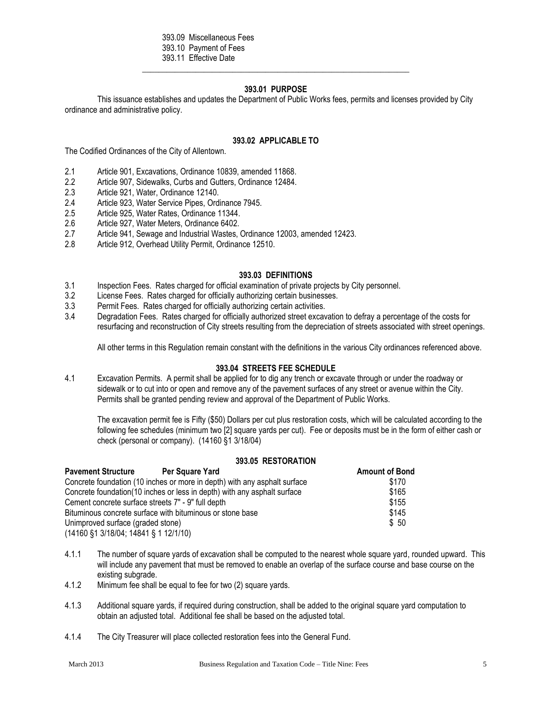393.09 Miscellaneous Fees

- 393.10 Payment of Fees
- 393.11 Effective Date

## **393.01 PURPOSE**

**\_\_\_\_\_\_\_\_\_\_\_\_\_\_\_\_\_\_\_\_\_\_\_\_\_\_\_\_\_\_\_\_\_\_\_\_\_\_\_\_\_\_\_\_\_\_\_\_\_\_\_\_\_\_\_\_\_\_\_\_\_\_\_\_\_**

This issuance establishes and updates the Department of Public Works fees, permits and licenses provided by City ordinance and administrative policy.

#### **393.02 APPLICABLE TO**

The Codified Ordinances of the City of Allentown.

- 2.1 Article 901, Excavations, Ordinance 10839, amended 11868.
- 2.2 Article 907, Sidewalks, Curbs and Gutters, Ordinance 12484.
- 2.3 Article 921, Water, Ordinance 12140.<br>2.4 Article 923. Water Service Pipes. Ordi
- 2.4 Article 923, Water Service Pipes, Ordinance 7945.<br>2.5 Article 925, Water Rates, Ordinance 11344.
- 2.5 Article 925, Water Rates, Ordinance 11344.
- 2.6 Article 927, Water Meters, Ordinance 6402.
- 2.7 Article 941, Sewage and Industrial Wastes, Ordinance 12003, amended 12423.<br>2.8 Article 912. Overhead Utility Permit. Ordinance 12510.
- Article 912, Overhead Utility Permit, Ordinance 12510.

#### **393.03 DEFINITIONS**

- 3.1 Inspection Fees. Rates charged for official examination of private projects by City personnel.
- 3.2 License Fees. Rates charged for officially authorizing certain businesses.
- 3.3 Permit Fees. Rates charged for officially authorizing certain activities.
- 3.4 Degradation Fees. Rates charged for officially authorized street excavation to defray a percentage of the costs for resurfacing and reconstruction of City streets resulting from the depreciation of streets associated with street openings.

All other terms in this Regulation remain constant with the definitions in the various City ordinances referenced above.

#### **393.04 STREETS FEE SCHEDULE**

4.1 Excavation Permits. A permit shall be applied for to dig any trench or excavate through or under the roadway or sidewalk or to cut into or open and remove any of the pavement surfaces of any street or avenue within the City. Permits shall be granted pending review and approval of the Department of Public Works.

The excavation permit fee is Fifty (\$50) Dollars per cut plus restoration costs, which will be calculated according to the following fee schedules (minimum two [2] square yards per cut). Fee or deposits must be in the form of either cash or check (personal or company). (14160 §1 3/18/04)

## **393.05 RESTORATION**

| <b>Pavement Structure</b>                                                  | Per Square Yard                                                           | <b>Amount of Bond</b> |
|----------------------------------------------------------------------------|---------------------------------------------------------------------------|-----------------------|
|                                                                            | Concrete foundation (10 inches or more in depth) with any asphalt surface | \$170                 |
|                                                                            | Concrete foundation (10 inches or less in depth) with any asphalt surface | \$165                 |
| Cement concrete surface streets 7" - 9" full depth                         |                                                                           | \$155                 |
|                                                                            | Bituminous concrete surface with bituminous or stone base                 | \$145                 |
| Unimproved surface (graded stone)                                          |                                                                           | \$ 50                 |
| $(14160 \text{ } $1 \text{ } 3/18/04; 14841 \text{ } $1 \text{ } 12/1/10)$ |                                                                           |                       |

4.1.1 The number of square yards of excavation shall be computed to the nearest whole square yard, rounded upward. This will include any pavement that must be removed to enable an overlap of the surface course and base course on the existing subgrade.

- 4.1.2 Minimum fee shall be equal to fee for two (2) square yards.
- 4.1.3 Additional square yards, if required during construction, shall be added to the original square yard computation to obtain an adjusted total. Additional fee shall be based on the adjusted total.
- 4.1.4 The City Treasurer will place collected restoration fees into the General Fund.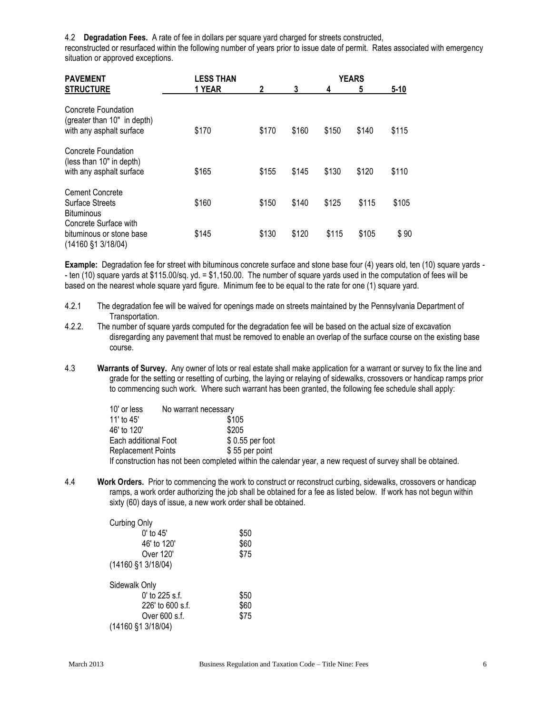4.2 **Degradation Fees.** A rate of fee in dollars per square yard charged for streets constructed,

reconstructed or resurfaced within the following number of years prior to issue date of permit. Rates associated with emergency situation or approved exceptions.

| <b>PAVEMENT</b>                                                                             | <b>LESS THAN</b> |       | <b>YEARS</b> |       |       |          |
|---------------------------------------------------------------------------------------------|------------------|-------|--------------|-------|-------|----------|
| <b>STRUCTURE</b>                                                                            | 1 YEAR           | 2     | 3            | 4     | 5     | $5 - 10$ |
| Concrete Foundation<br>(greater than 10" in depth)<br>with any asphalt surface              | \$170            | \$170 | \$160        | \$150 | \$140 | \$115    |
| Concrete Foundation<br>(less than 10" in depth)<br>with any asphalt surface                 | \$165            | \$155 | \$145        | \$130 | \$120 | \$110    |
| <b>Cement Concrete</b><br><b>Surface Streets</b><br><b>Bituminous</b>                       | \$160            | \$150 | \$140        | \$125 | \$115 | \$105    |
| Concrete Surface with<br>bituminous or stone base<br>$(14160 \text{ } $1 \text{ } 3/18/04)$ | \$145            | \$130 | \$120        | \$115 | \$105 | \$90     |

**Example:** Degradation fee for street with bituminous concrete surface and stone base four (4) years old, ten (10) square yards - - ten (10) square yards at \$115.00/sq. yd. = \$1,150.00. The number of square yards used in the computation of fees will be based on the nearest whole square yard figure. Minimum fee to be equal to the rate for one (1) square yard.

- 4.2.1 The degradation fee will be waived for openings made on streets maintained by the Pennsylvania Department of Transportation.
- 4.2.2. The number of square yards computed for the degradation fee will be based on the actual size of excavation disregarding any pavement that must be removed to enable an overlap of the surface course on the existing base course.
- 4.3 **Warrants of Survey.** Any owner of lots or real estate shall make application for a warrant or survey to fix the line and grade for the setting or resetting of curbing, the laying or relaying of sidewalks, crossovers or handicap ramps prior to commencing such work. Where such warrant has been granted, the following fee schedule shall apply:

| 10' or less               | No warrant necessary |                                                                                                             |
|---------------------------|----------------------|-------------------------------------------------------------------------------------------------------------|
| 11' to $45'$              |                      | \$105                                                                                                       |
| 46' to 120'               |                      | \$205                                                                                                       |
| Each additional Foot      |                      | $$0.55$ per foot                                                                                            |
| <b>Replacement Points</b> |                      | \$55 per point                                                                                              |
|                           |                      | If construction has not been completed within the calendar year, a new request of survey shall be obtained. |

4.4 **Work Orders.** Prior to commencing the work to construct or reconstruct curbing, sidewalks, crossovers or handicap ramps, a work order authorizing the job shall be obtained for a fee as listed below. If work has not begun within sixty (60) days of issue, a new work order shall be obtained.

| Curbing Only                           |      |
|----------------------------------------|------|
| $0'$ to $45'$                          | \$50 |
| 46' to 120'                            | \$60 |
| Over 120'                              | \$75 |
| (14160 §1 3/18/04)                     |      |
| Sidewalk Only                          |      |
| $0'$ to 225 s.f.                       | \$50 |
| 226' to 600 s.f.                       | \$60 |
| Over 600 s.f.                          | \$75 |
| $(14160 \text{ } $1 \text{ } 3/18/04)$ |      |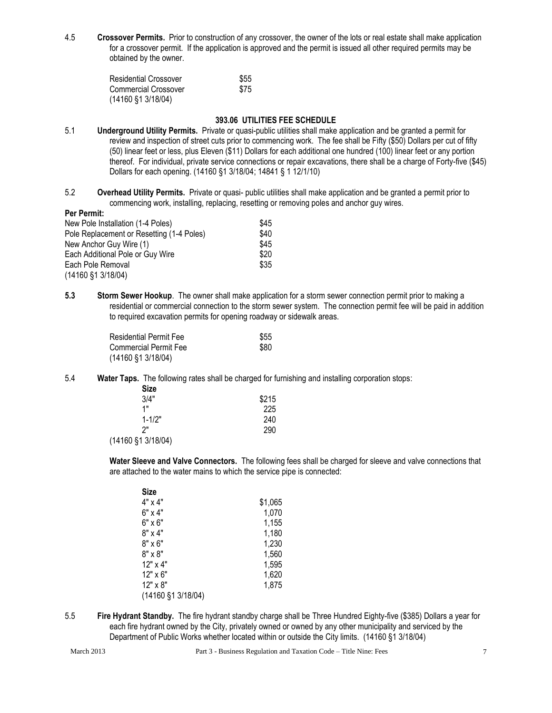4.5 **Crossover Permits.** Prior to construction of any crossover, the owner of the lots or real estate shall make application for a crossover permit. If the application is approved and the permit is issued all other required permits may be obtained by the owner.

| <b>Residential Crossover</b>           | \$55 |
|----------------------------------------|------|
| Commercial Crossover                   | \$75 |
| $(14160 \text{ } $1 \text{ } 3/18/04)$ |      |

#### **393.06 UTILITIES FEE SCHEDULE**

- 5.1 **Underground Utility Permits.** Private or quasi-public utilities shall make application and be granted a permit for review and inspection of street cuts prior to commencing work. The fee shall be Fifty (\$50) Dollars per cut of fifty (50) linear feet or less, plus Eleven (\$11) Dollars for each additional one hundred (100) linear feet or any portion thereof. For individual, private service connections or repair excavations, there shall be a charge of Forty-five (\$45) Dollars for each opening. (14160 §1 3/18/04; 14841 § 1 12/1/10)
- 5.2 **Overhead Utility Permits.** Private or quasi- public utilities shall make application and be granted a permit prior to commencing work, installing, replacing, resetting or removing poles and anchor guy wires.

## **Per Permit:**

| New Pole Installation (1-4 Poles)         | \$45 |
|-------------------------------------------|------|
| Pole Replacement or Resetting (1-4 Poles) | \$40 |
| New Anchor Guy Wire (1)                   | \$45 |
| Each Additional Pole or Guy Wire          | \$20 |
| Each Pole Removal                         | \$35 |
| $(14160 \text{ } $1 \text{ } 3/18/04)$    |      |

**5.3 Storm Sewer Hookup**. The owner shall make application for a storm sewer connection permit prior to making a residential or commercial connection to the storm sewer system. The connection permit fee will be paid in addition to required excavation permits for opening roadway or sidewalk areas.

| Residential Permit Fee                 | \$55 |
|----------------------------------------|------|
| <b>Commercial Permit Fee</b>           | \$80 |
| $(14160 \text{ } $1 \text{ } 3/18/04)$ |      |

5.4 **Water Taps.** The following rates shall be charged for furnishing and installing corporation stops:  $S<sub>1</sub>$ 

| oize         |       |
|--------------|-------|
| 3/4"         | \$215 |
| 1"           | 225   |
| $1 - 1/2"$   | 240   |
| 2"           | 290   |
| 1.0110101011 |       |

(14160 §1 3/18/04)

**Water Sleeve and Valve Connectors.** The following fees shall be charged for sleeve and valve connections that are attached to the water mains to which the service pipe is connected:

| Size               |         |
|--------------------|---------|
| 4" x 4"            | \$1,065 |
| 6" x 4"            | 1,070   |
| 6" x 6"            | 1,155   |
| 8" x 4"            | 1,180   |
| 8" x 6"            | 1,230   |
| 8" x 8"            | 1,560   |
| 12" x 4"           | 1,595   |
| 12" x 6"           | 1,620   |
| 12" x 8"           | 1,875   |
| (14160 §1 3/18/04) |         |

5.5 **Fire Hydrant Standby.** The fire hydrant standby charge shall be Three Hundred Eighty-five (\$385) Dollars a year for each fire hydrant owned by the City, privately owned or owned by any other municipality and serviced by the Department of Public Works whether located within or outside the City limits. (14160 §1 3/18/04)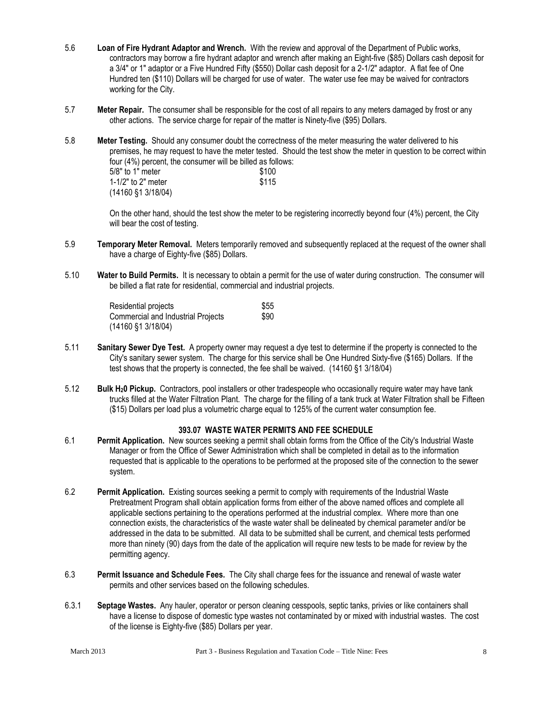- 5.6 **Loan of Fire Hydrant Adaptor and Wrench.** With the review and approval of the Department of Public works, contractors may borrow a fire hydrant adaptor and wrench after making an Eight-five (\$85) Dollars cash deposit for a 3/4" or 1" adaptor or a Five Hundred Fifty (\$550) Dollar cash deposit for a 2-1/2" adaptor. A flat fee of One Hundred ten (\$110) Dollars will be charged for use of water. The water use fee may be waived for contractors working for the City.
- 5.7 **Meter Repair.** The consumer shall be responsible for the cost of all repairs to any meters damaged by frost or any other actions. The service charge for repair of the matter is Ninety-five (\$95) Dollars.
- 5.8 **Meter Testing.** Should any consumer doubt the correctness of the meter measuring the water delivered to his premises, he may request to have the meter tested. Should the test show the meter in question to be correct within four (4%) percent, the consumer will be billed as follows:  $5/8"$  to 1" meter  $$100$ 1-1/2" to 2" meter \$115 (14160 §1 3/18/04)

On the other hand, should the test show the meter to be registering incorrectly beyond four (4%) percent, the City will bear the cost of testing.

- 5.9 **Temporary Meter Removal.** Meters temporarily removed and subsequently replaced at the request of the owner shall have a charge of Eighty-five (\$85) Dollars.
- 5.10 **Water to Build Permits.** It is necessary to obtain a permit for the use of water during construction. The consumer will be billed a flat rate for residential, commercial and industrial projects.

Residential projects \$55 Commercial and Industrial Projects \$90 (14160 §1 3/18/04)

- 5.11 **Sanitary Sewer Dye Test.** A property owner may request a dye test to determine if the property is connected to the City's sanitary sewer system. The charge for this service shall be One Hundred Sixty-five (\$165) Dollars. If the test shows that the property is connected, the fee shall be waived. (14160 §1 3/18/04)
- 5.12 **Bulk H20 Pickup.** Contractors, pool installers or other tradespeople who occasionally require water may have tank trucks filled at the Water Filtration Plant. The charge for the filling of a tank truck at Water Filtration shall be Fifteen (\$15) Dollars per load plus a volumetric charge equal to 125% of the current water consumption fee.

#### **393.07 WASTE WATER PERMITS AND FEE SCHEDULE**

- 6.1 **Permit Application.** New sources seeking a permit shall obtain forms from the Office of the City's Industrial Waste Manager or from the Office of Sewer Administration which shall be completed in detail as to the information requested that is applicable to the operations to be performed at the proposed site of the connection to the sewer system.
- 6.2 **Permit Application.** Existing sources seeking a permit to comply with requirements of the Industrial Waste Pretreatment Program shall obtain application forms from either of the above named offices and complete all applicable sections pertaining to the operations performed at the industrial complex. Where more than one connection exists, the characteristics of the waste water shall be delineated by chemical parameter and/or be addressed in the data to be submitted. All data to be submitted shall be current, and chemical tests performed more than ninety (90) days from the date of the application will require new tests to be made for review by the permitting agency.
- 6.3 **Permit Issuance and Schedule Fees.** The City shall charge fees for the issuance and renewal of waste water permits and other services based on the following schedules.
- 6.3.1 **Septage Wastes.** Any hauler, operator or person cleaning cesspools, septic tanks, privies or like containers shall have a license to dispose of domestic type wastes not contaminated by or mixed with industrial wastes. The cost of the license is Eighty-five (\$85) Dollars per year.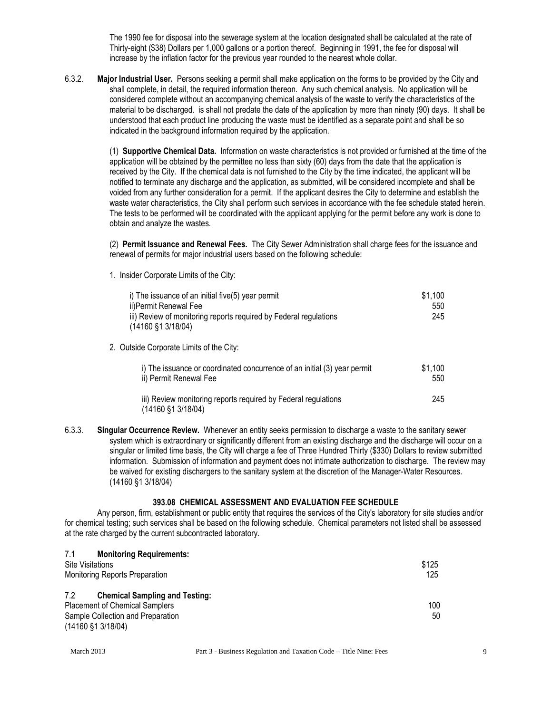The 1990 fee for disposal into the sewerage system at the location designated shall be calculated at the rate of Thirty-eight (\$38) Dollars per 1,000 gallons or a portion thereof. Beginning in 1991, the fee for disposal will increase by the inflation factor for the previous year rounded to the nearest whole dollar.

6.3.2. **Major Industrial User.** Persons seeking a permit shall make application on the forms to be provided by the City and shall complete, in detail, the required information thereon. Any such chemical analysis. No application will be considered complete without an accompanying chemical analysis of the waste to verify the characteristics of the material to be discharged. is shall not predate the date of the application by more than ninety (90) days. It shall be understood that each product line producing the waste must be identified as a separate point and shall be so indicated in the background information required by the application.

> (1) **Supportive Chemical Data.** Information on waste characteristics is not provided or furnished at the time of the application will be obtained by the permittee no less than sixty (60) days from the date that the application is received by the City. If the chemical data is not furnished to the City by the time indicated, the applicant will be notified to terminate any discharge and the application, as submitted, will be considered incomplete and shall be voided from any further consideration for a permit. If the applicant desires the City to determine and establish the waste water characteristics, the City shall perform such services in accordance with the fee schedule stated herein. The tests to be performed will be coordinated with the applicant applying for the permit before any work is done to obtain and analyze the wastes.

(2) **Permit Issuance and Renewal Fees.** The City Sewer Administration shall charge fees for the issuance and renewal of permits for major industrial users based on the following schedule:

1. Insider Corporate Limits of the City:

| i) The issuance of an initial five(5) year permit<br>ii)Permit Renewal Fee<br>iii) Review of monitoring reports required by Federal regulations<br>$(14160 \text{ } $1 \text{ } 3/18/04)$ | \$1,100<br>550<br>245 |
|-------------------------------------------------------------------------------------------------------------------------------------------------------------------------------------------|-----------------------|
| 2. Outside Corporate Limits of the City:                                                                                                                                                  |                       |
| i) The issuance or coordinated concurrence of an initial (3) year permit<br>ii) Permit Renewal Fee                                                                                        | \$1,100<br>550        |
| iii) Review monitoring reports required by Federal regulations<br>(14160 §1 3/18/04)                                                                                                      | 245                   |

6.3.3. **Singular Occurrence Review.** Whenever an entity seeks permission to discharge a waste to the sanitary sewer system which is extraordinary or significantly different from an existing discharge and the discharge will occur on a singular or limited time basis, the City will charge a fee of Three Hundred Thirty (\$330) Dollars to review submitted information. Submission of information and payment does not intimate authorization to discharge. The review may be waived for existing dischargers to the sanitary system at the discretion of the Manager-Water Resources. (14160 §1 3/18/04)

#### **393.08 CHEMICAL ASSESSMENT AND EVALUATION FEE SCHEDULE**

Any person, firm, establishment or public entity that requires the services of the City's laboratory for site studies and/or for chemical testing; such services shall be based on the following schedule. Chemical parameters not listed shall be assessed at the rate charged by the current subcontracted laboratory.

| 7.1<br><b>Monitoring Requirements:</b>       |       |
|----------------------------------------------|-------|
| Site Visitations                             | \$125 |
| <b>Monitoring Reports Preparation</b>        | 125   |
| 7.2<br><b>Chemical Sampling and Testing:</b> |       |
| <b>Placement of Chemical Samplers</b>        | 100   |
| Sample Collection and Preparation            | 50    |
| $(14160 \text{ } $1 \text{ } 3/18/04)$       |       |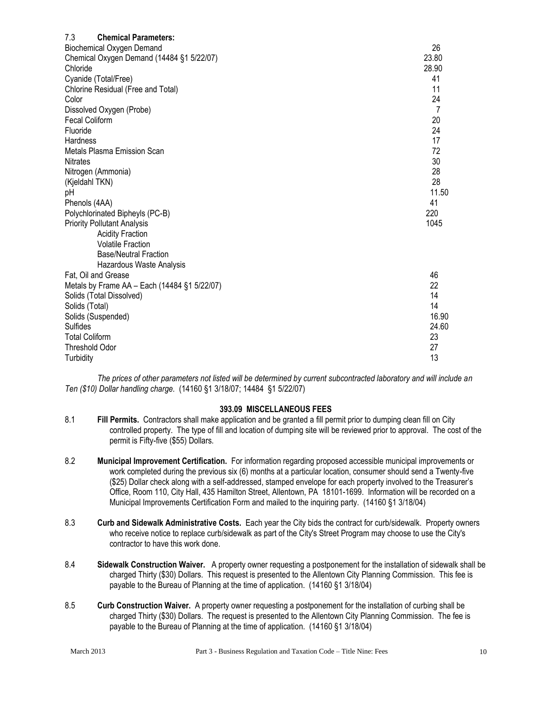| 7.3<br><b>Chemical Parameters:</b>           |          |
|----------------------------------------------|----------|
| Biochemical Oxygen Demand                    | 26       |
| Chemical Oxygen Demand (14484 §1 5/22/07)    | 23.80    |
| Chloride                                     | 28.90    |
| Cyanide (Total/Free)                         | 41       |
| Chlorine Residual (Free and Total)           | 11       |
| Color                                        | 24       |
| Dissolved Oxygen (Probe)                     | 7        |
| <b>Fecal Coliform</b>                        | 20       |
| Fluoride                                     | 24       |
| Hardness                                     | 17       |
| Metals Plasma Emission Scan                  | 72       |
| <b>Nitrates</b>                              | 30       |
| Nitrogen (Ammonia)                           | 28       |
| (Kjeldahl TKN)                               | 28       |
| pH                                           | 11.50    |
| Phenols (4AA)                                | 41       |
| Polychlorinated Bipheyls (PC-B)              | 220      |
| <b>Priority Pollutant Analysis</b>           | 1045     |
| <b>Acidity Fraction</b>                      |          |
| <b>Volatile Fraction</b>                     |          |
| <b>Base/Neutral Fraction</b>                 |          |
| Hazardous Waste Analysis                     |          |
| Fat, Oil and Grease                          | 46       |
| Metals by Frame AA - Each (14484 §1 5/22/07) | 22       |
| Solids (Total Dissolved)                     | 14<br>14 |
| Solids (Total)                               | 16.90    |
| Solids (Suspended)<br>Sulfides               | 24.60    |
| <b>Total Coliform</b>                        | 23       |
| <b>Threshold Odor</b>                        | 27       |
| Turbidity                                    | 13       |
|                                              |          |

*The prices of other parameters not listed will be determined by current subcontracted laboratory and will include an Ten (\$10) Dollar handling charge.* (14160 §1 3/18/07; 14484 §1 5/22/07)

#### **393.09 MISCELLANEOUS FEES**

- 8.1 **Fill Permits.** Contractors shall make application and be granted a fill permit prior to dumping clean fill on City controlled property. The type of fill and location of dumping site will be reviewed prior to approval. The cost of the permit is Fifty-five (\$55) Dollars.
- 8.2 **Municipal Improvement Certification.** For information regarding proposed accessible municipal improvements or work completed during the previous six (6) months at a particular location, consumer should send a Twenty-five (\$25) Dollar check along with a self-addressed, stamped envelope for each property involved to the Treasurer's Office, Room 110, City Hall, 435 Hamilton Street, Allentown, PA 18101-1699. Information will be recorded on a Municipal Improvements Certification Form and mailed to the inquiring party. (14160 §1 3/18/04)
- 8.3 **Curb and Sidewalk Administrative Costs.** Each year the City bids the contract for curb/sidewalk. Property owners who receive notice to replace curb/sidewalk as part of the City's Street Program may choose to use the City's contractor to have this work done.
- 8.4 **Sidewalk Construction Waiver.** A property owner requesting a postponement for the installation of sidewalk shall be charged Thirty (\$30) Dollars. This request is presented to the Allentown City Planning Commission. This fee is payable to the Bureau of Planning at the time of application. (14160 §1 3/18/04)
- 8.5 **Curb Construction Waiver.** A property owner requesting a postponement for the installation of curbing shall be charged Thirty (\$30) Dollars. The request is presented to the Allentown City Planning Commission. The fee is payable to the Bureau of Planning at the time of application. (14160 §1 3/18/04)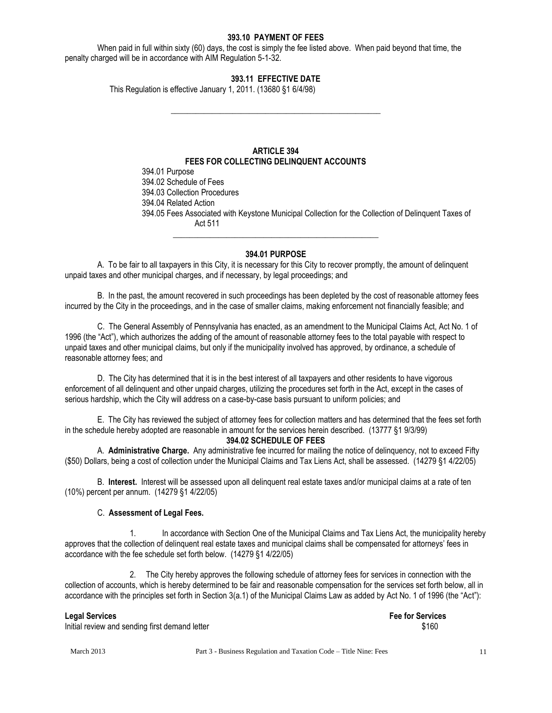#### **393.10 PAYMENT OF FEES**

When paid in full within sixty (60) days, the cost is simply the fee listed above. When paid beyond that time, the penalty charged will be in accordance with AIM Regulation 5-1-32.

## **393.11 EFFECTIVE DATE**

**\_\_\_\_\_\_\_\_\_\_\_\_\_\_\_\_\_\_\_\_\_\_\_\_\_\_\_\_\_\_\_\_\_\_\_\_\_\_\_\_\_\_\_\_\_\_\_\_\_\_\_**

This Regulation is effective January 1, 2011. (13680 §1 6/4/98)

## **ARTICLE 394 FEES FOR COLLECTING DELINQUENT ACCOUNTS**

394.01 Purpose 394.02 Schedule of Fees 394.03 Collection Procedures 394.04 Related Action 394.05 Fees Associated with Keystone Municipal Collection for the Collection of Delinquent Taxes of Act 511

#### **394.01 PURPOSE**

**\_\_\_\_\_\_\_\_\_\_\_\_\_\_\_\_\_\_\_\_\_\_\_\_\_\_\_\_\_\_\_\_\_\_\_\_\_\_\_\_\_\_\_\_\_\_\_\_\_\_**

A. To be fair to all taxpayers in this City, it is necessary for this City to recover promptly, the amount of delinquent unpaid taxes and other municipal charges, and if necessary, by legal proceedings; and

B. In the past, the amount recovered in such proceedings has been depleted by the cost of reasonable attorney fees incurred by the City in the proceedings, and in the case of smaller claims, making enforcement not financially feasible; and

C. The General Assembly of Pennsylvania has enacted, as an amendment to the Municipal Claims Act, Act No. 1 of 1996 (the "Act"), which authorizes the adding of the amount of reasonable attorney fees to the total payable with respect to unpaid taxes and other municipal claims, but only if the municipality involved has approved, by ordinance, a schedule of reasonable attorney fees; and

D. The City has determined that it is in the best interest of all taxpayers and other residents to have vigorous enforcement of all delinquent and other unpaid charges, utilizing the procedures set forth in the Act, except in the cases of serious hardship, which the City will address on a case-by-case basis pursuant to uniform policies; and

E. The City has reviewed the subject of attorney fees for collection matters and has determined that the fees set forth in the schedule hereby adopted are reasonable in amount for the services herein described. (13777 §1 9/3/99) **394.02 SCHEDULE OF FEES**

A. **Administrative Charge.** Any administrative fee incurred for mailing the notice of delinquency, not to exceed Fifty (\$50) Dollars, being a cost of collection under the Municipal Claims and Tax Liens Act, shall be assessed. (14279 §1 4/22/05)

B. **Interest.** Interest will be assessed upon all delinquent real estate taxes and/or municipal claims at a rate of ten (10%) percent per annum. (14279 §1 4/22/05)

#### C. **Assessment of Legal Fees.**

1. In accordance with Section One of the Municipal Claims and Tax Liens Act, the municipality hereby approves that the collection of delinquent real estate taxes and municipal claims shall be compensated for attorneys' fees in accordance with the fee schedule set forth below. (14279 §1 4/22/05)

2. The City hereby approves the following schedule of attorney fees for services in connection with the collection of accounts, which is hereby determined to be fair and reasonable compensation for the services set forth below, all in accordance with the principles set forth in Section 3(a.1) of the Municipal Claims Law as added by Act No. 1 of 1996 (the "Act"):

Initial review and sending first demand letter  $$160$ 

**Legal Services Fee for Services**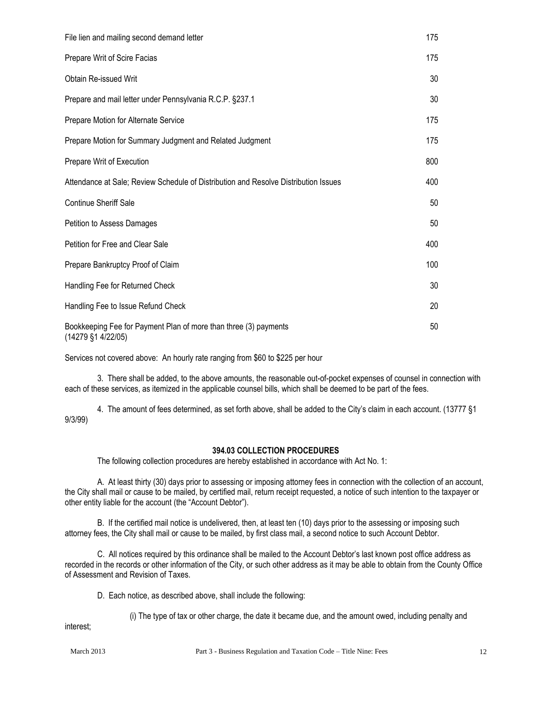| File lien and mailing second demand letter                                                      | 175 |
|-------------------------------------------------------------------------------------------------|-----|
| Prepare Writ of Scire Facias                                                                    | 175 |
| <b>Obtain Re-issued Writ</b>                                                                    | 30  |
| Prepare and mail letter under Pennsylvania R.C.P. §237.1                                        | 30  |
| Prepare Motion for Alternate Service                                                            | 175 |
| Prepare Motion for Summary Judgment and Related Judgment                                        | 175 |
| Prepare Writ of Execution                                                                       | 800 |
| Attendance at Sale; Review Schedule of Distribution and Resolve Distribution Issues             | 400 |
| <b>Continue Sheriff Sale</b>                                                                    | 50  |
| Petition to Assess Damages                                                                      | 50  |
| Petition for Free and Clear Sale                                                                | 400 |
| Prepare Bankruptcy Proof of Claim                                                               | 100 |
| Handling Fee for Returned Check                                                                 | 30  |
| Handling Fee to Issue Refund Check                                                              | 20  |
| Bookkeeping Fee for Payment Plan of more than three (3) payments<br>$(14279 \, \S1 \, 4/22/05)$ | 50  |

Services not covered above: An hourly rate ranging from \$60 to \$225 per hour

3. There shall be added, to the above amounts, the reasonable out-of-pocket expenses of counsel in connection with each of these services, as itemized in the applicable counsel bills, which shall be deemed to be part of the fees.

4. The amount of fees determined, as set forth above, shall be added to the City's claim in each account. (13777 §1 9/3/99)

#### **394.03 COLLECTION PROCEDURES**

The following collection procedures are hereby established in accordance with Act No. 1:

A. At least thirty (30) days prior to assessing or imposing attorney fees in connection with the collection of an account, the City shall mail or cause to be mailed, by certified mail, return receipt requested, a notice of such intention to the taxpayer or other entity liable for the account (the "Account Debtor").

B. If the certified mail notice is undelivered, then, at least ten (10) days prior to the assessing or imposing such attorney fees, the City shall mail or cause to be mailed, by first class mail, a second notice to such Account Debtor.

C. All notices required by this ordinance shall be mailed to the Account Debtor's last known post office address as recorded in the records or other information of the City, or such other address as it may be able to obtain from the County Office of Assessment and Revision of Taxes.

D. Each notice, as described above, shall include the following:

(i) The type of tax or other charge, the date it became due, and the amount owed, including penalty and

interest;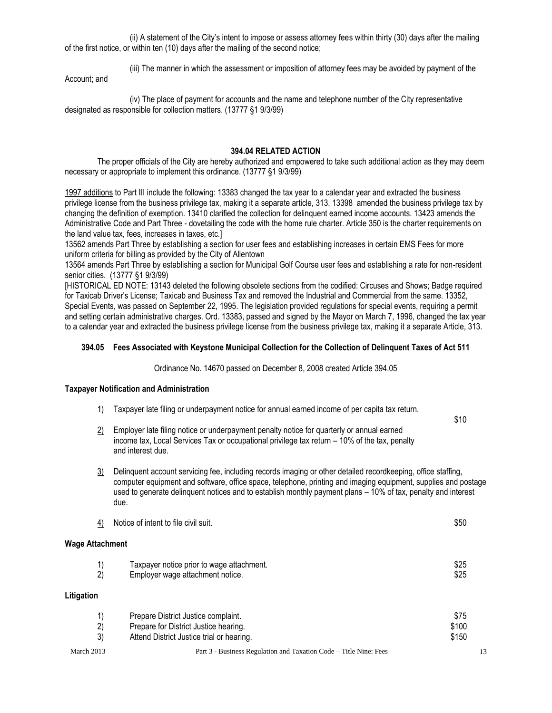(ii) A statement of the City's intent to impose or assess attorney fees within thirty (30) days after the mailing of the first notice, or within ten (10) days after the mailing of the second notice;

(iii) The manner in which the assessment or imposition of attorney fees may be avoided by payment of the

Account; and

(iv) The place of payment for accounts and the name and telephone number of the City representative designated as responsible for collection matters. (13777 §1 9/3/99)

#### **394.04 RELATED ACTION**

The proper officials of the City are hereby authorized and empowered to take such additional action as they may deem necessary or appropriate to implement this ordinance. (13777 §1 9/3/99)

1997 additions to Part III include the following: 13383 changed the tax year to a calendar year and extracted the business privilege license from the business privilege tax, making it a separate article, 313. 13398 amended the business privilege tax by changing the definition of exemption. 13410 clarified the collection for delinquent earned income accounts. 13423 amends the Administrative Code and Part Three - dovetailing the code with the home rule charter. Article 350 is the charter requirements on the land value tax, fees, increases in taxes, etc.]

13562 amends Part Three by establishing a section for user fees and establishing increases in certain EMS Fees for more uniform criteria for billing as provided by the City of Allentown

13564 amends Part Three by establishing a section for Municipal Golf Course user fees and establishing a rate for non-resident senior cities. (13777 §1 9/3/99)

[HISTORICAL ED NOTE: 13143 deleted the following obsolete sections from the codified: Circuses and Shows; Badge required for Taxicab Driver's License; Taxicab and Business Tax and removed the Industrial and Commercial from the same. 13352, Special Events, was passed on September 22, 1995. The legislation provided regulations for special events, requiring a permit and setting certain administrative charges. Ord. 13383, passed and signed by the Mayor on March 7, 1996, changed the tax year to a calendar year and extracted the business privilege license from the business privilege tax, making it a separate Article, 313.

#### **394.05 Fees Associated with Keystone Municipal Collection for the Collection of Delinquent Taxes of Act 511**

Ordinance No. 14670 passed on December 8, 2008 created Article 394.05

#### **Taxpayer Notification and Administration**

1) Taxpayer late filing or underpayment notice for annual earned income of per capita tax return.

\$10

- $2$  Employer late filing notice or underpayment penalty notice for quarterly or annual earned income tax, Local Services Tax or occupational privilege tax return – 10% of the tax, penalty and interest due.
- 3) Delinquent account servicing fee, including records imaging or other detailed recordkeeping, office staffing, computer equipment and software, office space, telephone, printing and imaging equipment, supplies and postage used to generate delinquent notices and to establish monthly payment plans – 10% of tax, penalty and interest due.

| <u>4)</u>              | Notice of intent to file civil suit.                                                                                      | \$50                   |
|------------------------|---------------------------------------------------------------------------------------------------------------------------|------------------------|
| <b>Wage Attachment</b> |                                                                                                                           |                        |
| 1)<br>2)               | Taxpayer notice prior to wage attachment.<br>Employer wage attachment notice.                                             | \$25<br>\$25           |
| Litigation             |                                                                                                                           |                        |
| 1)<br>$\binom{2}{3}$   | Prepare District Justice complaint.<br>Prepare for District Justice hearing.<br>Attend District Justice trial or hearing. | \$75<br>\$100<br>\$150 |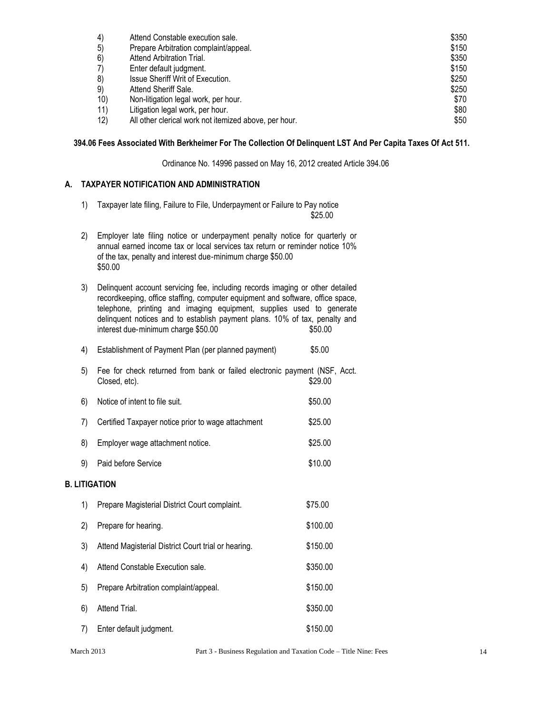| 4)  | Attend Constable execution sale.                      | \$350 |
|-----|-------------------------------------------------------|-------|
| 5)  | Prepare Arbitration complaint/appeal.                 | \$150 |
| 6)  | Attend Arbitration Trial.                             | \$350 |
| 7)  | Enter default judgment.                               | \$150 |
| 8)  | Issue Sheriff Writ of Execution.                      | \$250 |
| 9)  | Attend Sheriff Sale.                                  | \$250 |
| 10) | Non-litigation legal work, per hour.                  | \$70  |
| 11) | Litigation legal work, per hour.                      | \$80  |
| 12) | All other clerical work not itemized above, per hour. | \$50  |

## **394.06 Fees Associated With Berkheimer For The Collection Of Delinquent LST And Per Capita Taxes Of Act 511.**

Ordinance No. 14996 passed on May 16, 2012 created Article 394.06

## **A. TAXPAYER NOTIFICATION AND ADMINISTRATION**

1) Taxpayer late filing, Failure to File, Underpayment or Failure to Pay notice

\$25.00

- 2) Employer late filing notice or underpayment penalty notice for quarterly or annual earned income tax or local services tax return or reminder notice 10% of the tax, penalty and interest due‐minimum charge \$50.00 \$50.00
- 3) Delinquent account servicing fee, including records imaging or other detailed recordkeeping, office staffing, computer equipment and software, office space, telephone, printing and imaging equipment, supplies used to generate delinquent notices and to establish payment plans. 10% of tax, penalty and interest due-minimum charge \$50.00
- 4) Establishment of Payment Plan (per planned payment) \$5.00
- 5) Fee for check returned from bank or failed electronic payment (NSF, Acct. Closed, etc).  $$29.00$
- 6) Notice of intent to file suit.  $$50.00$
- 7) Certified Taxpayer notice prior to wage attachment \$25.00
- 8) Employer wage attachment notice. \$25.00 9) Paid before Service  $\sim$  \$10.00

# **B. LITIGATION**

1) Prepare Magisterial District Court complaint. \$75.00 2) Prepare for hearing.  $$100.00$ 3) Attend Magisterial District Court trial or hearing. \$150.00 4) Attend Constable Execution sale. \$350.00 5) Prepare Arbitration complaint/appeal. \$150.00 6) Attend Trial. \$350.00 7) Enter default judgment. \$150.00

March 2013 Part 3 - Business Regulation and Taxation Code – Title Nine: Fees 14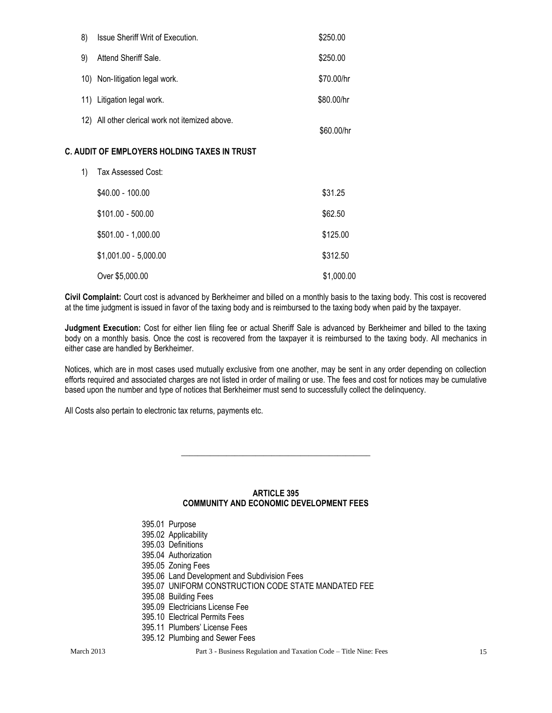| 8) | Issue Sheriff Writ of Execution.                | \$250.00   |
|----|-------------------------------------------------|------------|
| 9) | Attend Sheriff Sale.                            | \$250.00   |
|    | 10) Non-litigation legal work.                  | \$70,00/hr |
|    | 11) Litigation legal work.                      | \$80,00/hr |
|    | 12) All other clerical work not itemized above. | \$60.00/hr |

## **C. AUDIT OF EMPLOYERS HOLDING TAXES IN TRUST**

| 1) | Tax Assessed Cost:     |            |
|----|------------------------|------------|
|    | $$40.00 - 100.00$      | \$31.25    |
|    | $$101.00 - 500.00$     | \$62.50    |
|    | $$501.00 - 1,000.00$   | \$125.00   |
|    | $$1,001.00 - 5,000.00$ | \$312.50   |
|    | Over \$5,000.00        | \$1,000.00 |

**Civil Complaint:** Court cost is advanced by Berkheimer and billed on a monthly basis to the taxing body. This cost is recovered at the time judgment is issued in favor of the taxing body and is reimbursed to the taxing body when paid by the taxpayer.

**Judgment Execution:** Cost for either lien filing fee or actual Sheriff Sale is advanced by Berkheimer and billed to the taxing body on a monthly basis. Once the cost is recovered from the taxpayer it is reimbursed to the taxing body. All mechanics in either case are handled by Berkheimer.

Notices, which are in most cases used mutually exclusive from one another, may be sent in any order depending on collection efforts required and associated charges are not listed in order of mailing or use. The fees and cost for notices may be cumulative based upon the number and type of notices that Berkheimer must send to successfully collect the delinquency.

All Costs also pertain to electronic tax returns, payments etc.

#### **ARTICLE 395 COMMUNITY AND ECONOMIC DEVELOPMENT FEES**

**\_\_\_\_\_\_\_\_\_\_\_\_\_\_\_\_\_\_\_\_\_\_\_\_\_\_\_\_\_\_\_\_\_\_\_\_\_\_\_\_\_\_\_\_\_\_**

| 395.01 Purpose                                      |
|-----------------------------------------------------|
| 395.02 Applicability                                |
| 395.03 Definitions                                  |
| 395.04 Authorization                                |
| 395.05 Zoning Fees                                  |
| 395.06 Land Development and Subdivision Fees        |
| 395.07 UNIFORM CONSTRUCTION CODE STATE MANDATED FEE |
| 395.08 Building Fees                                |
| 395.09 Electricians License Fee                     |
| 395.10 Electrical Permits Fees                      |
| 395.11 Plumbers' License Fees                       |
| 395.12 Plumbing and Sewer Fees                      |

March 2013 Part 3 - Business Regulation and Taxation Code – Title Nine: Fees 15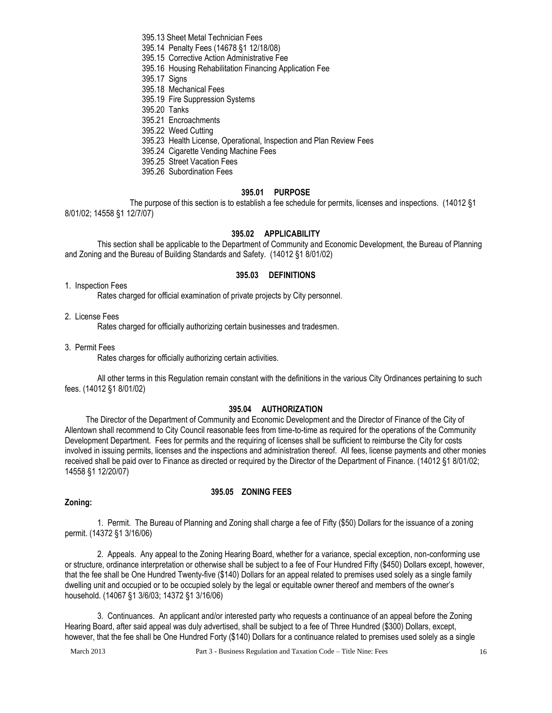395.13 Sheet Metal Technician Fees

- 395.14 Penalty Fees (14678 §1 12/18/08)
- 395.15 Corrective Action Administrative Fee
- 395.16 Housing Rehabilitation Financing Application Fee

395.17 Signs

- 395.18 Mechanical Fees
- 395.19 Fire Suppression Systems
- 395.20 Tanks
- 395.21 Encroachments
- 395.22 Weed Cutting
- 395.23 Health License, Operational, Inspection and Plan Review Fees
- 395.24 Cigarette Vending Machine Fees
- 395.25 Street Vacation Fees
- 395.26 Subordination Fees

#### **395.01 PURPOSE**

The purpose of this section is to establish a fee schedule for permits, licenses and inspections. (14012 §1 8/01/02; 14558 §1 12/7/07)

#### **395.02 APPLICABILITY**

This section shall be applicable to the Department of Community and Economic Development, the Bureau of Planning and Zoning and the Bureau of Building Standards and Safety. (14012 §1 8/01/02)

#### **395.03 DEFINITIONS**

#### 1. Inspection Fees

Rates charged for official examination of private projects by City personnel.

#### 2. License Fees

Rates charged for officially authorizing certain businesses and tradesmen.

3. Permit Fees

Rates charges for officially authorizing certain activities.

All other terms in this Regulation remain constant with the definitions in the various City Ordinances pertaining to such fees. (14012 §1 8/01/02)

#### **395.04 AUTHORIZATION**

The Director of the Department of Community and Economic Development and the Director of Finance of the City of Allentown shall recommend to City Council reasonable fees from time-to-time as required for the operations of the Community Development Department. Fees for permits and the requiring of licenses shall be sufficient to reimburse the City for costs involved in issuing permits, licenses and the inspections and administration thereof. All fees, license payments and other monies received shall be paid over to Finance as directed or required by the Director of the Department of Finance. (14012 §1 8/01/02; 14558 §1 12/20/07)

#### **395.05 ZONING FEES**

#### **Zoning:**

1. Permit. The Bureau of Planning and Zoning shall charge a fee of Fifty (\$50) Dollars for the issuance of a zoning permit. (14372 §1 3/16/06)

2. Appeals. Any appeal to the Zoning Hearing Board, whether for a variance, special exception, non-conforming use or structure, ordinance interpretation or otherwise shall be subject to a fee of Four Hundred Fifty (\$450) Dollars except, however, that the fee shall be One Hundred Twenty-five (\$140) Dollars for an appeal related to premises used solely as a single family dwelling unit and occupied or to be occupied solely by the legal or equitable owner thereof and members of the owner's household. (14067 §1 3/6/03; 14372 §1 3/16/06)

3. Continuances. An applicant and/or interested party who requests a continuance of an appeal before the Zoning Hearing Board, after said appeal was duly advertised, shall be subject to a fee of Three Hundred (\$300) Dollars, except, however, that the fee shall be One Hundred Forty (\$140) Dollars for a continuance related to premises used solely as a single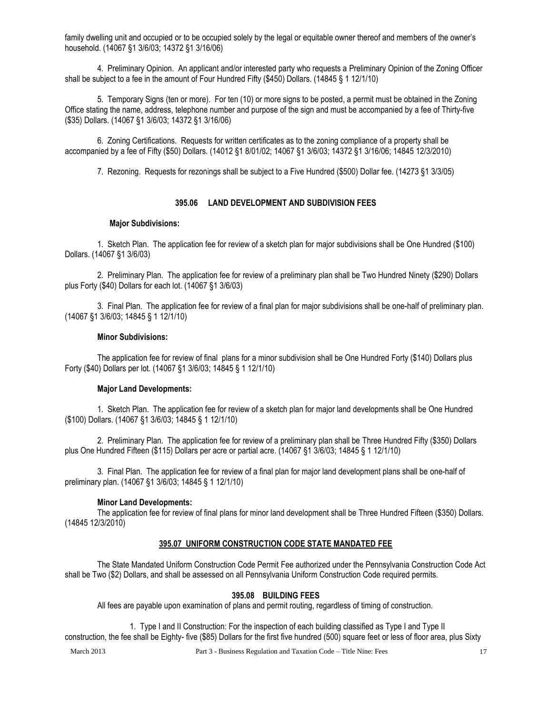family dwelling unit and occupied or to be occupied solely by the legal or equitable owner thereof and members of the owner's household. (14067 §1 3/6/03; 14372 §1 3/16/06)

4. Preliminary Opinion. An applicant and/or interested party who requests a Preliminary Opinion of the Zoning Officer shall be subject to a fee in the amount of Four Hundred Fifty (\$450) Dollars. (14845 § 1 12/1/10)

5. Temporary Signs (ten or more). For ten (10) or more signs to be posted, a permit must be obtained in the Zoning Office stating the name, address, telephone number and purpose of the sign and must be accompanied by a fee of Thirty-five (\$35) Dollars. (14067 §1 3/6/03; 14372 §1 3/16/06)

6. Zoning Certifications. Requests for written certificates as to the zoning compliance of a property shall be accompanied by a fee of Fifty (\$50) Dollars. (14012 §1 8/01/02; 14067 §1 3/6/03; 14372 §1 3/16/06; 14845 12/3/2010)

7. Rezoning. Requests for rezonings shall be subject to a Five Hundred (\$500) Dollar fee. (14273 §1 3/3/05)

## **395.06 LAND DEVELOPMENT AND SUBDIVISION FEES**

#### **Major Subdivisions:**

1. Sketch Plan. The application fee for review of a sketch plan for major subdivisions shall be One Hundred (\$100) Dollars. (14067 §1 3/6/03)

2. Preliminary Plan. The application fee for review of a preliminary plan shall be Two Hundred Ninety (\$290) Dollars plus Forty (\$40) Dollars for each lot. (14067 §1 3/6/03)

3. Final Plan. The application fee for review of a final plan for major subdivisions shall be one-half of preliminary plan. (14067 §1 3/6/03; 14845 § 1 12/1/10)

#### **Minor Subdivisions:**

The application fee for review of final plans for a minor subdivision shall be One Hundred Forty (\$140) Dollars plus Forty (\$40) Dollars per lot. (14067 §1 3/6/03; 14845 § 1 12/1/10)

#### **Major Land Developments:**

1. Sketch Plan. The application fee for review of a sketch plan for major land developments shall be One Hundred (\$100) Dollars. (14067 §1 3/6/03; 14845 § 1 12/1/10)

2. Preliminary Plan. The application fee for review of a preliminary plan shall be Three Hundred Fifty (\$350) Dollars plus One Hundred Fifteen (\$115) Dollars per acre or partial acre. (14067 §1 3/6/03; 14845 § 1 12/1/10)

3. Final Plan. The application fee for review of a final plan for major land development plans shall be one-half of preliminary plan. (14067 §1 3/6/03; 14845 § 1 12/1/10)

#### **Minor Land Developments:**

The application fee for review of final plans for minor land development shall be Three Hundred Fifteen (\$350) Dollars. (14845 12/3/2010)

#### **395.07 UNIFORM CONSTRUCTION CODE STATE MANDATED FEE**

The State Mandated Uniform Construction Code Permit Fee authorized under the Pennsylvania Construction Code Act shall be Two (\$2) Dollars, and shall be assessed on all Pennsylvania Uniform Construction Code required permits.

#### **395.08 BUILDING FEES**

All fees are payable upon examination of plans and permit routing, regardless of timing of construction.

1. Type I and II Construction: For the inspection of each building classified as Type I and Type II construction, the fee shall be Eighty- five (\$85) Dollars for the first five hundred (500) square feet or less of floor area, plus Sixty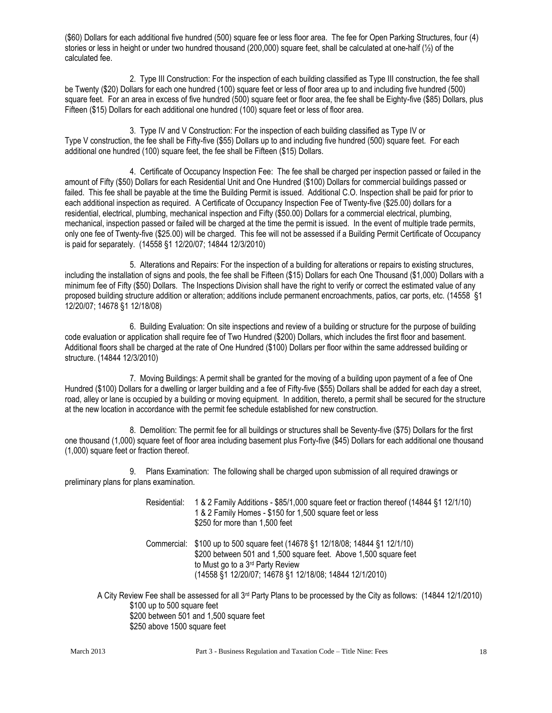(\$60) Dollars for each additional five hundred (500) square fee or less floor area. The fee for Open Parking Structures, four (4) stories or less in height or under two hundred thousand (200,000) square feet, shall be calculated at one-half ( $\frac{1}{2}$ ) of the calculated fee.

2. Type III Construction: For the inspection of each building classified as Type III construction, the fee shall be Twenty (\$20) Dollars for each one hundred (100) square feet or less of floor area up to and including five hundred (500) square feet. For an area in excess of five hundred (500) square feet or floor area, the fee shall be Eighty-five (\$85) Dollars, plus Fifteen (\$15) Dollars for each additional one hundred (100) square feet or less of floor area.

3. Type IV and V Construction: For the inspection of each building classified as Type IV or Type V construction, the fee shall be Fifty-five (\$55) Dollars up to and including five hundred (500) square feet. For each additional one hundred (100) square feet, the fee shall be Fifteen (\$15) Dollars.

4. Certificate of Occupancy Inspection Fee: The fee shall be charged per inspection passed or failed in the amount of Fifty (\$50) Dollars for each Residential Unit and One Hundred (\$100) Dollars for commercial buildings passed or failed. This fee shall be payable at the time the Building Permit is issued. Additional C.O. Inspection shall be paid for prior to each additional inspection as required. A Certificate of Occupancy Inspection Fee of Twenty-five (\$25.00) dollars for a residential, electrical, plumbing, mechanical inspection and Fifty (\$50.00) Dollars for a commercial electrical, plumbing, mechanical, inspection passed or failed will be charged at the time the permit is issued. In the event of multiple trade permits, only one fee of Twenty-five (\$25.00) will be charged. This fee will not be assessed if a Building Permit Certificate of Occupancy is paid for separately. (14558 §1 12/20/07; 14844 12/3/2010)

5. Alterations and Repairs: For the inspection of a building for alterations or repairs to existing structures, including the installation of signs and pools, the fee shall be Fifteen (\$15) Dollars for each One Thousand (\$1,000) Dollars with a minimum fee of Fifty (\$50) Dollars. The Inspections Division shall have the right to verify or correct the estimated value of any proposed building structure addition or alteration; additions include permanent encroachments, patios, car ports, etc. (14558 §1 12/20/07; 14678 §1 12/18/08)

6. Building Evaluation: On site inspections and review of a building or structure for the purpose of building code evaluation or application shall require fee of Two Hundred (\$200) Dollars, which includes the first floor and basement. Additional floors shall be charged at the rate of One Hundred (\$100) Dollars per floor within the same addressed building or structure. (14844 12/3/2010)

7. Moving Buildings: A permit shall be granted for the moving of a building upon payment of a fee of One Hundred (\$100) Dollars for a dwelling or larger building and a fee of Fifty-five (\$55) Dollars shall be added for each day a street, road, alley or lane is occupied by a building or moving equipment. In addition, thereto, a permit shall be secured for the structure at the new location in accordance with the permit fee schedule established for new construction.

8. Demolition: The permit fee for all buildings or structures shall be Seventy-five (\$75) Dollars for the first one thousand (1,000) square feet of floor area including basement plus Forty-five (\$45) Dollars for each additional one thousand (1,000) square feet or fraction thereof.

9. Plans Examination: The following shall be charged upon submission of all required drawings or preliminary plans for plans examination.

| Residential: | 1 & 2 Family Additions - \$85/1,000 square feet or fraction thereof (14844 §1 12/1/10)<br>1 & 2 Family Homes - \$150 for 1,500 square feet or less<br>\$250 for more than 1,500 feet                                                                         |
|--------------|--------------------------------------------------------------------------------------------------------------------------------------------------------------------------------------------------------------------------------------------------------------|
|              | Commercial: \$100 up to 500 square feet (14678 §1 12/18/08; 14844 §1 12/1/10)<br>\$200 between 501 and 1,500 square feet. Above 1,500 square feet<br>to Must go to a 3 <sup>rd</sup> Party Review<br>(14558 §1 12/20/07; 14678 §1 12/18/08; 14844 12/1/2010) |

A City Review Fee shall be assessed for all 3rd Party Plans to be processed by the City as follows: (14844 12/1/2010) \$100 up to 500 square feet \$200 between 501 and 1,500 square feet \$250 above 1500 square feet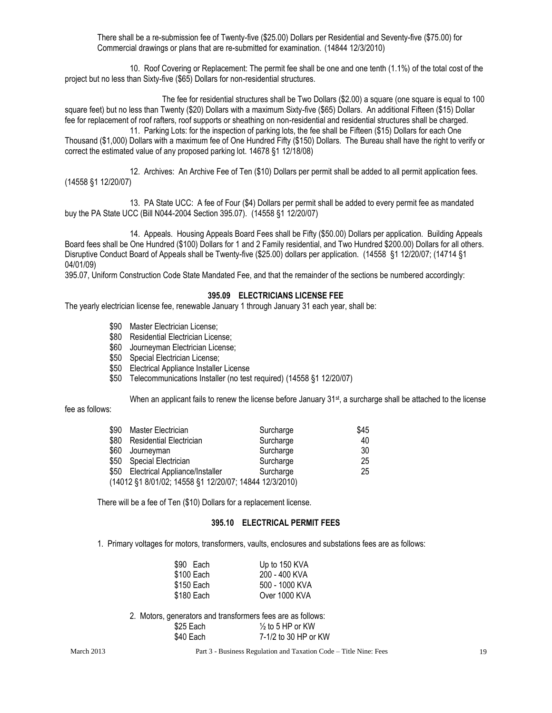There shall be a re-submission fee of Twenty-five (\$25.00) Dollars per Residential and Seventy-five (\$75.00) for Commercial drawings or plans that are re-submitted for examination. (14844 12/3/2010)

10. Roof Covering or Replacement: The permit fee shall be one and one tenth (1.1%) of the total cost of the project but no less than Sixty-five (\$65) Dollars for non-residential structures.

The fee for residential structures shall be Two Dollars (\$2.00) a square (one square is equal to 100 square feet) but no less than Twenty (\$20) Dollars with a maximum Sixty-five (\$65) Dollars. An additional Fifteen (\$15) Dollar fee for replacement of roof rafters, roof supports or sheathing on non-residential and residential structures shall be charged.

11. Parking Lots: for the inspection of parking lots, the fee shall be Fifteen (\$15) Dollars for each One Thousand (\$1,000) Dollars with a maximum fee of One Hundred Fifty (\$150) Dollars. The Bureau shall have the right to verify or correct the estimated value of any proposed parking lot. 14678 §1 12/18/08)

12. Archives: An Archive Fee of Ten (\$10) Dollars per permit shall be added to all permit application fees. (14558 §1 12/20/07)

13. PA State UCC: A fee of Four (\$4) Dollars per permit shall be added to every permit fee as mandated buy the PA State UCC (Bill N044-2004 Section 395.07). (14558 §1 12/20/07)

14. Appeals. Housing Appeals Board Fees shall be Fifty (\$50.00) Dollars per application. Building Appeals Board fees shall be One Hundred (\$100) Dollars for 1 and 2 Family residential, and Two Hundred \$200.00) Dollars for all others. Disruptive Conduct Board of Appeals shall be Twenty-five (\$25.00) dollars per application. (14558 §1 12/20/07; (14714 §1 04/01/09)

395.07, Uniform Construction Code State Mandated Fee, and that the remainder of the sections be numbered accordingly:

#### **395.09 ELECTRICIANS LICENSE FEE**

The yearly electrician license fee, renewable January 1 through January 31 each year, shall be:

- \$90 Master Electrician License;
- \$80 Residential Electrician License;
- \$60 Journeyman Electrician License;
- \$50 Special Electrician License;
- \$50 Electrical Appliance Installer License
- \$50 Telecommunications Installer (no test required) (14558 §1 12/20/07)

When an applicant fails to renew the license before January  $31^{st}$ , a surcharge shall be attached to the license

fee as follows:

| \$90 Master Electrician                                | Surcharge | \$45 |
|--------------------------------------------------------|-----------|------|
| \$80 Residential Electrician                           | Surcharge | 40   |
| \$60 Journeyman                                        | Surcharge | 30   |
| \$50 Special Electrician                               | Surcharge | 25   |
| \$50 Electrical Appliance/Installer                    | Surcharge | 25   |
| (14012 §1 8/01/02; 14558 §1 12/20/07; 14844 12/3/2010) |           |      |

There will be a fee of Ten (\$10) Dollars for a replacement license.

#### **395.10 ELECTRICAL PERMIT FEES**

1. Primary voltages for motors, transformers, vaults, enclosures and substations fees are as follows:

| \$90 Each  | Up to 150 KVA  |
|------------|----------------|
| \$100 Each | 200 - 400 KVA  |
| \$150 Each | 500 - 1000 KVA |
| \$180 Each | Over 1000 KVA  |
|            |                |

2. Motors, generators and transformers fees are as follows:  $$25$  Each  $\frac{1}{2}$  to 5 HP or KW \$40 Each 7-1/2 to 30 HP or KW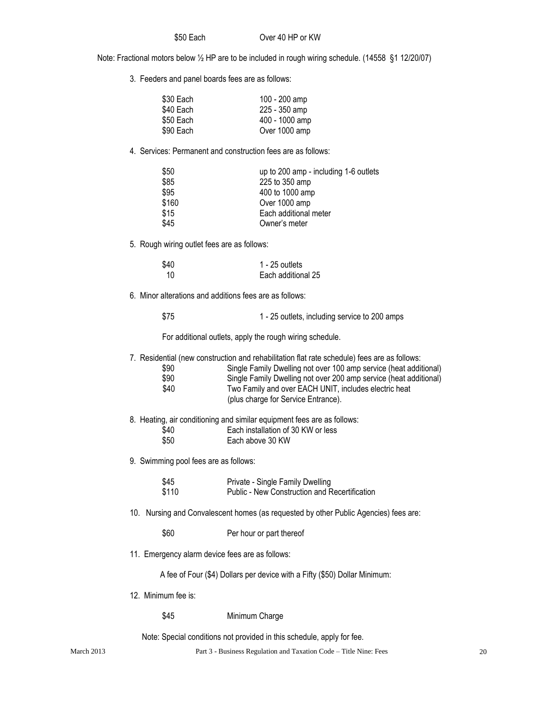\$50 Each Over 40 HP or KW

Note: Fractional motors below ½ HP are to be included in rough wiring schedule. (14558 §1 12/20/07)

3. Feeders and panel boards fees are as follows:

| \$30 Each | 100 - 200 amp  |
|-----------|----------------|
| \$40 Each | 225 - 350 amp  |
| \$50 Each | 400 - 1000 amp |
| \$90 Each | Over 1000 amp  |

4. Services: Permanent and construction fees are as follows:

| \$50  | up to 200 amp - including 1-6 outlets |
|-------|---------------------------------------|
| \$85  | 225 to 350 amp                        |
| \$95  | 400 to 1000 amp                       |
| \$160 | Over 1000 amp                         |
| \$15  | Each additional meter                 |
| \$45  | Owner's meter                         |
|       |                                       |

5. Rough wiring outlet fees are as follows:

| \$40 | 1 - 25 outlets     |
|------|--------------------|
| 10   | Each additional 25 |

6. Minor alterations and additions fees are as follows:

\$75 1 - 25 outlets, including service to 200 amps

For additional outlets, apply the rough wiring schedule.

7. Residential (new construction and rehabilitation flat rate schedule) fees are as follows:

| \$90 | Single Family Dwelling not over 100 amp service (heat additional) |
|------|-------------------------------------------------------------------|
| \$90 | Single Family Dwelling not over 200 amp service (heat additional) |
| \$40 | Two Family and over EACH UNIT, includes electric heat             |
|      | (plus charge for Service Entrance).                               |

- 8. Heating, air conditioning and similar equipment fees are as follows:
	- \$40 **Each installation of 30 KW or less**<br>\$50 **Each above 30 KW**
	- Each above 30 KW
- 9. Swimming pool fees are as follows:

| \$45  | Private - Single Family Dwelling              |
|-------|-----------------------------------------------|
| \$110 | Public - New Construction and Recertification |

- 10. Nursing and Convalescent homes (as requested by other Public Agencies) fees are:
	- \$60 Per hour or part thereof
- 11. Emergency alarm device fees are as follows:

A fee of Four (\$4) Dollars per device with a Fifty (\$50) Dollar Minimum:

12. Minimum fee is:

\$45 Minimum Charge

Note: Special conditions not provided in this schedule, apply for fee.

March 2013 Part 3 - Business Regulation and Taxation Code – Title Nine: Fees 20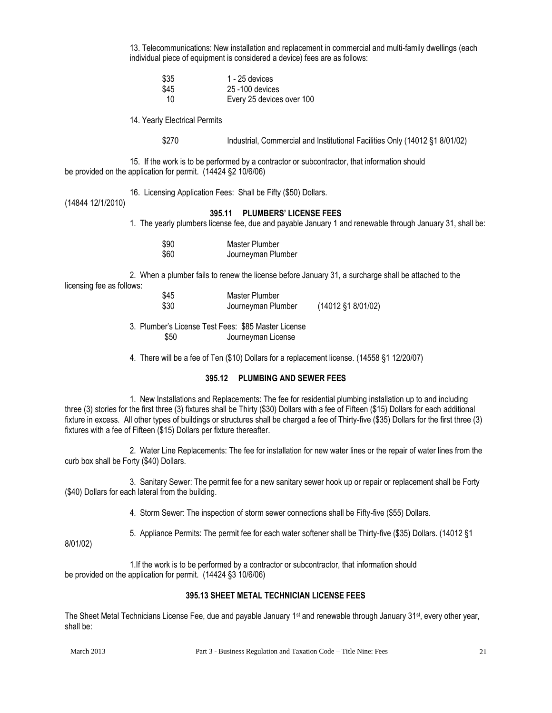13. Telecommunications: New installation and replacement in commercial and multi-family dwellings (each individual piece of equipment is considered a device) fees are as follows:

| \$35 | 1 - 25 devices            |
|------|---------------------------|
| \$45 | 25 -100 devices           |
| 10   | Every 25 devices over 100 |

14. Yearly Electrical Permits

\$270 Industrial, Commercial and Institutional Facilities Only (14012 §1 8/01/02)

15. If the work is to be performed by a contractor or subcontractor, that information should be provided on the application for permit. (14424 §2 10/6/06)

16. Licensing Application Fees: Shall be Fifty (\$50) Dollars.

(14844 12/1/2010)

## **395.11 PLUMBERS' LICENSE FEES**

1. The yearly plumbers license fee, due and payable January 1 and renewable through January 31, shall be:

| \$90 | Master Plumber     |
|------|--------------------|
| \$60 | Journeyman Plumber |

2. When a plumber fails to renew the license before January 31, a surcharge shall be attached to the licensing fee as follows:

| \$45 | Master Plumber     |                    |
|------|--------------------|--------------------|
| \$30 | Journeyman Plumber | (14012 §1 8/01/02) |

3. Plumber's License Test Fees: \$85 Master License \$50 Journeyman License

4. There will be a fee of Ten (\$10) Dollars for a replacement license. (14558 §1 12/20/07)

## **395.12 PLUMBING AND SEWER FEES**

1. New Installations and Replacements: The fee for residential plumbing installation up to and including three (3) stories for the first three (3) fixtures shall be Thirty (\$30) Dollars with a fee of Fifteen (\$15) Dollars for each additional fixture in excess. All other types of buildings or structures shall be charged a fee of Thirty-five (\$35) Dollars for the first three (3) fixtures with a fee of Fifteen (\$15) Dollars per fixture thereafter.

2. Water Line Replacements: The fee for installation for new water lines or the repair of water lines from the curb box shall be Forty (\$40) Dollars.

3. Sanitary Sewer: The permit fee for a new sanitary sewer hook up or repair or replacement shall be Forty (\$40) Dollars for each lateral from the building.

4. Storm Sewer: The inspection of storm sewer connections shall be Fifty-five (\$55) Dollars.

5. Appliance Permits: The permit fee for each water softener shall be Thirty-five (\$35) Dollars. (14012 §1

8/01/02)

1.If the work is to be performed by a contractor or subcontractor, that information should be provided on the application for permit. (14424 §3 10/6/06)

#### **395.13 SHEET METAL TECHNICIAN LICENSE FEES**

The Sheet Metal Technicians License Fee, due and payable January 1<sup>st</sup> and renewable through January 31<sup>st</sup>, every other year, shall be:

March 2013 **Part 3 - Business Regulation and Taxation Code – Title Nine: Fees** 21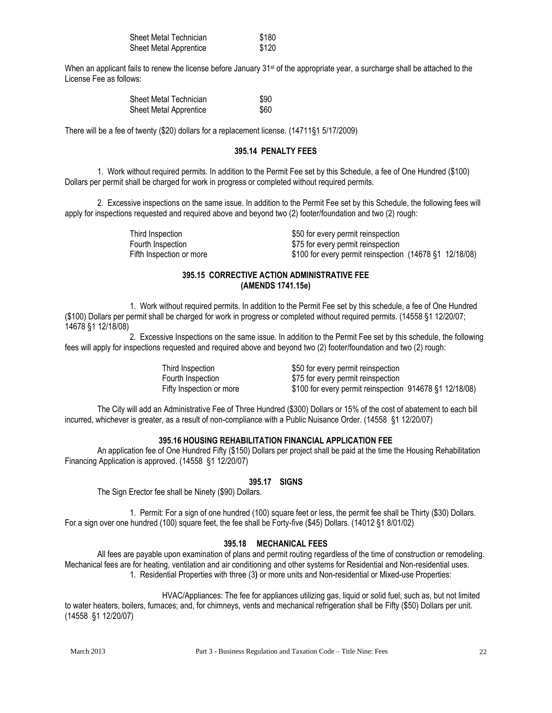| Sheet Metal Technician | \$180 |
|------------------------|-------|
| Sheet Metal Apprentice | \$120 |

When an applicant fails to renew the license before January 31<sup>st</sup> of the appropriate year, a surcharge shall be attached to the License Fee as follows:

| Sheet Metal Technician        | \$90 |
|-------------------------------|------|
| <b>Sheet Metal Apprentice</b> | \$60 |

There will be a fee of twenty (\$20) dollars for a replacement license. (14711§1 5/17/2009)

#### **395.14 PENALTY FEES**

1. Work without required permits. In addition to the Permit Fee set by this Schedule, a fee of One Hundred (\$100) Dollars per permit shall be charged for work in progress or completed without required permits.

2. Excessive inspections on the same issue. In addition to the Permit Fee set by this Schedule, the following fees will apply for inspections requested and required above and beyond two (2) footer/foundation and two (2) rough:

> Third Inspection  $$50$  for every permit reinspection Fourth Inspection  $$75$  for every permit reinspection Fifth Inspection or more \$100 for every permit reinspection (14678 §1 12/18/08)

#### **395.15 CORRECTIVE ACTION ADMINISTRATIVE FEE (AMENDS 1741.15e)**

1. Work without required permits. In addition to the Permit Fee set by this schedule, a fee of One Hundred (\$100) Dollars per permit shall be charged for work in progress or completed without required permits. (14558 §1 12/20/07; 14678 §1 12/18/08)

2. Excessive Inspections on the same issue. In addition to the Permit Fee set by this schedule, the following fees will apply for inspections requested and required above and beyond two (2) footer/foundation and two (2) rough:

> Third Inspection  $$50$  for every permit reinspection Fourth Inspection  $$75$  for every permit reinspection Fifty Inspection or more \$100 for every permit reinspection 914678 §1 12/18/08)

The City will add an Administrative Fee of Three Hundred (\$300) Dollars or 15% of the cost of abatement to each bill incurred, whichever is greater, as a result of non-compliance with a Public Nuisance Order. (14558 §1 12/20/07)

#### **395.16 HOUSING REHABILITATION FINANCIAL APPLICATION FEE**

An application fee of One Hundred Fifty (\$150) Dollars per project shall be paid at the time the Housing Rehabilitation Financing Application is approved. (14558 §1 12/20/07)

#### **395.17 SIGNS**

The Sign Erector fee shall be Ninety (\$90) Dollars.

1. Permit: For a sign of one hundred (100) square feet or less, the permit fee shall be Thirty (\$30) Dollars. For a sign over one hundred (100) square feet, the fee shall be Forty-five (\$45) Dollars. (14012 §1 8/01/02)

#### **395.18 MECHANICAL FEES**

All fees are payable upon examination of plans and permit routing regardless of the time of construction or remodeling. Mechanical fees are for heating, ventilation and air conditioning and other systems for Residential and Non-residential uses. 1. Residential Properties with three (3**)** or more units and Non-residential or Mixed-use Properties:

HVAC/Appliances: The fee for appliances utilizing gas, liquid or solid fuel, such as, but not limited to water heaters, boilers, furnaces; and, for chimneys, vents and mechanical refrigeration shall be Fifty (\$50) Dollars per unit. (14558 §1 12/20/07)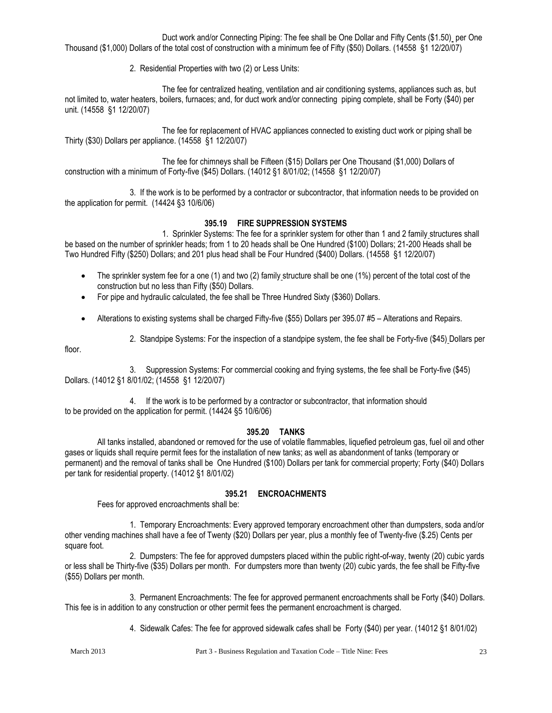Duct work and/or Connecting Piping: The fee shall be One Dollar and Fifty Cents (\$1.50) per One Thousand (\$1,000) Dollars of the total cost of construction with a minimum fee of Fifty (\$50) Dollars. (14558 §1 12/20/07)

2. Residential Properties with two (2) or Less Units:

The fee for centralized heating, ventilation and air conditioning systems, appliances such as, but not limited to, water heaters, boilers, furnaces; and, for duct work and/or connecting piping complete, shall be Forty (\$40) per unit. (14558 §1 12/20/07)

The fee for replacement of HVAC appliances connected to existing duct work or piping shall be Thirty (\$30) Dollars per appliance. (14558 §1 12/20/07)

The fee for chimneys shall be Fifteen (\$15) Dollars per One Thousand (\$1,000) Dollars of construction with a minimum of Forty-five (\$45) Dollars. (14012 §1 8/01/02; (14558 §1 12/20/07)

3. If the work is to be performed by a contractor or subcontractor, that information needs to be provided on the application for permit. (14424 §3 10/6/06)

## **395.19 FIRE SUPPRESSION SYSTEMS**

1. Sprinkler Systems: The fee for a sprinkler system for other than 1 and 2 family structures shall be based on the number of sprinkler heads; from 1 to 20 heads shall be One Hundred (\$100) Dollars; 21-200 Heads shall be Two Hundred Fifty (\$250) Dollars; and 201 plus head shall be Four Hundred (\$400) Dollars. (14558 §1 12/20/07)

- $\bullet$  The sprinkler system fee for a one (1) and two (2) family structure shall be one (1%) percent of the total cost of the construction but no less than Fifty (\$50) Dollars.
- For pipe and hydraulic calculated, the fee shall be Three Hundred Sixty (\$360) Dollars.
- Alterations to existing systems shall be charged Fifty-five (\$55) Dollars per 395.07 #5 Alterations and Repairs.
	- 2. Standpipe Systems: For the inspection of a standpipe system, the fee shall be Forty-five (\$45) Dollars per

floor.

3. Suppression Systems: For commercial cooking and frying systems, the fee shall be Forty-five (\$45) Dollars. (14012 §1 8/01/02; (14558 §1 12/20/07)

4. If the work is to be performed by a contractor or subcontractor, that information should to be provided on the application for permit. (14424 §5 10/6/06)

#### **395.20 TANKS**

All tanks installed, abandoned or removed for the use of volatile flammables, liquefied petroleum gas, fuel oil and other gases or liquids shall require permit fees for the installation of new tanks; as well as abandonment of tanks (temporary or permanent) and the removal of tanks shall be One Hundred (\$100) Dollars per tank for commercial property; Forty (\$40) Dollars per tank for residential property. (14012 §1 8/01/02)

#### **395.21 ENCROACHMENTS**

Fees for approved encroachments shall be:

1. Temporary Encroachments: Every approved temporary encroachment other than dumpsters, soda and/or other vending machines shall have a fee of Twenty (\$20) Dollars per year, plus a monthly fee of Twenty-five (\$.25) Cents per square foot.

2. Dumpsters: The fee for approved dumpsters placed within the public right-of-way, twenty (20) cubic yards or less shall be Thirty-five (\$35) Dollars per month. For dumpsters more than twenty (20) cubic yards, the fee shall be Fifty-five (\$55) Dollars per month.

3. Permanent Encroachments: The fee for approved permanent encroachments shall be Forty (\$40) Dollars. This fee is in addition to any construction or other permit fees the permanent encroachment is charged.

4. Sidewalk Cafes: The fee for approved sidewalk cafes shall be Forty (\$40) per year. (14012 §1 8/01/02)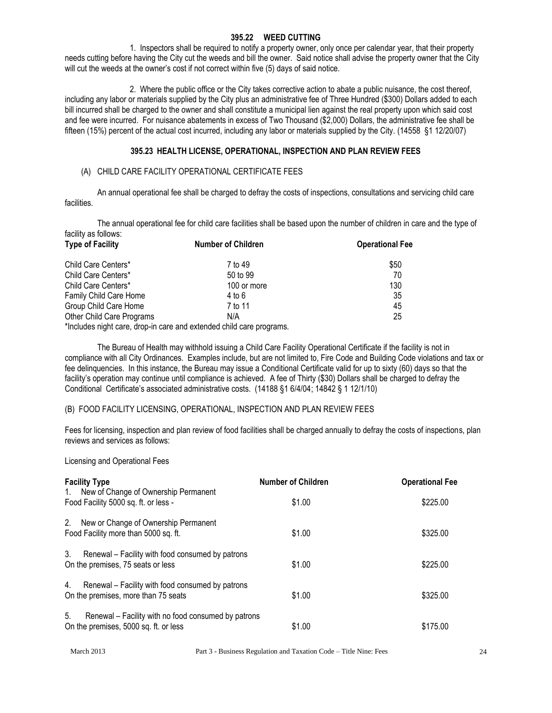#### **395.22 WEED CUTTING**

1. Inspectors shall be required to notify a property owner, only once per calendar year, that their property needs cutting before having the City cut the weeds and bill the owner. Said notice shall advise the property owner that the City will cut the weeds at the owner's cost if not correct within five (5) days of said notice.

2. Where the public office or the City takes corrective action to abate a public nuisance, the cost thereof, including any labor or materials supplied by the City plus an administrative fee of Three Hundred (\$300) Dollars added to each bill incurred shall be charged to the owner and shall constitute a municipal lien against the real property upon which said cost and fee were incurred. For nuisance abatements in excess of Two Thousand (\$2,000) Dollars, the administrative fee shall be fifteen (15%) percent of the actual cost incurred, including any labor or materials supplied by the City. (14558 §1 12/20/07)

#### **395.23 HEALTH LICENSE, OPERATIONAL, INSPECTION AND PLAN REVIEW FEES**

#### (A) CHILD CARE FACILITY OPERATIONAL CERTIFICATE FEES

An annual operational fee shall be charged to defray the costs of inspections, consultations and servicing child care facilities.

The annual operational fee for child care facilities shall be based upon the number of children in care and the type of facility as follows:

| <b>Type of Facility</b>   | <b>Number of Children</b> | <b>Operational Fee</b> |
|---------------------------|---------------------------|------------------------|
| Child Care Centers*       | 7 to 49                   | \$50                   |
| Child Care Centers*       | 50 to 99                  | 70                     |
| Child Care Centers*       | 100 or more               | 130                    |
| Family Child Care Home    | 4 to 6                    | 35                     |
| Group Child Care Home     | 7 to 11                   | 45                     |
| Other Child Care Programs | N/A                       | 25                     |
|                           |                           |                        |

\*Includes night care, drop-in care and extended child care programs.

The Bureau of Health may withhold issuing a Child Care Facility Operational Certificate if the facility is not in compliance with all City Ordinances. Examples include, but are not limited to, Fire Code and Building Code violations and tax or fee delinquencies. In this instance, the Bureau may issue a Conditional Certificate valid for up to sixty (60) days so that the facility's operation may continue until compliance is achieved. A fee of Thirty (\$30) Dollars shall be charged to defray the Conditional Certificate's associated administrative costs. (14188 §1 6/4/04; 14842 § 1 12/1/10)

#### (B) FOOD FACILITY LICENSING, OPERATIONAL, INSPECTION AND PLAN REVIEW FEES

Fees for licensing, inspection and plan review of food facilities shall be charged annually to defray the costs of inspections, plan reviews and services as follows:

Licensing and Operational Fees

| <b>Facility Type</b>                                                                               | <b>Number of Children</b> | <b>Operational Fee</b> |
|----------------------------------------------------------------------------------------------------|---------------------------|------------------------|
| 1. New of Change of Ownership Permanent<br>Food Facility 5000 sq. ft. or less -                    | \$1.00                    | \$225.00               |
| 2. New or Change of Ownership Permanent<br>Food Facility more than 5000 sq. ft.                    | \$1.00                    | \$325.00               |
| 3.<br>Renewal - Facility with food consumed by patrons<br>On the premises, 75 seats or less        | \$1.00                    | \$225.00               |
| 4.<br>Renewal – Facility with food consumed by patrons<br>On the premises, more than 75 seats      | \$1.00                    | \$325.00               |
| 5.<br>Renewal - Facility with no food consumed by patrons<br>On the premises, 5000 sq. ft. or less | \$1.00                    | \$175.00               |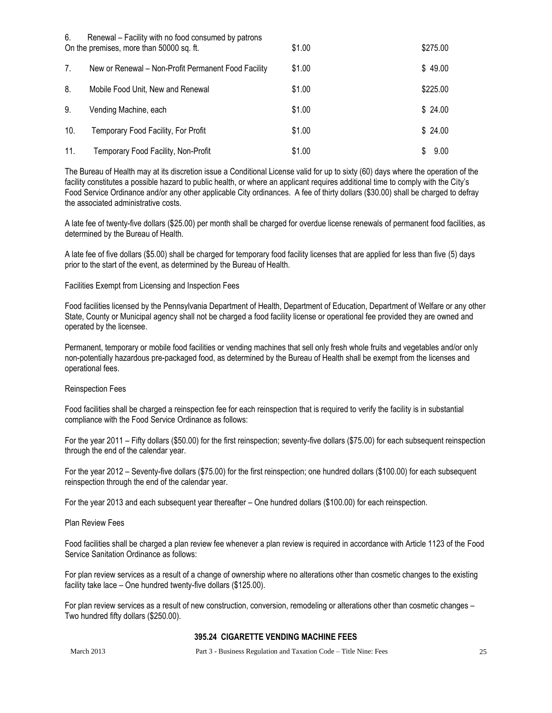| 6.  | Renewal – Facility with no food consumed by patrons<br>On the premises, more than 50000 sq. ft. | \$1.00 | \$275.00 |
|-----|-------------------------------------------------------------------------------------------------|--------|----------|
| 7.  | New or Renewal – Non-Profit Permanent Food Facility                                             | \$1.00 | \$49.00  |
| 8.  | Mobile Food Unit, New and Renewal                                                               | \$1.00 | \$225.00 |
| 9.  | Vending Machine, each                                                                           | \$1.00 | \$24.00  |
| 10. | Temporary Food Facility, For Profit                                                             | \$1.00 | \$24.00  |
| 11. | Temporary Food Facility, Non-Profit                                                             | \$1.00 | 9.00     |

The Bureau of Health may at its discretion issue a Conditional License valid for up to sixty (60) days where the operation of the facility constitutes a possible hazard to public health, or where an applicant requires additional time to comply with the City's Food Service Ordinance and/or any other applicable City ordinances. A fee of thirty dollars (\$30.00) shall be charged to defray the associated administrative costs.

A late fee of twenty-five dollars (\$25.00) per month shall be charged for overdue license renewals of permanent food facilities, as determined by the Bureau of Health.

A late fee of five dollars (\$5.00) shall be charged for temporary food facility licenses that are applied for less than five (5) days prior to the start of the event, as determined by the Bureau of Health.

Facilities Exempt from Licensing and Inspection Fees

Food facilities licensed by the Pennsylvania Department of Health, Department of Education, Department of Welfare or any other State, County or Municipal agency shall not be charged a food facility license or operational fee provided they are owned and operated by the licensee.

Permanent, temporary or mobile food facilities or vending machines that sell only fresh whole fruits and vegetables and/or only non-potentially hazardous pre-packaged food, as determined by the Bureau of Health shall be exempt from the licenses and operational fees.

#### Reinspection Fees

Food facilities shall be charged a reinspection fee for each reinspection that is required to verify the facility is in substantial compliance with the Food Service Ordinance as follows:

For the year 2011 – Fifty dollars (\$50.00) for the first reinspection; seventy-five dollars (\$75.00) for each subsequent reinspection through the end of the calendar year.

For the year 2012 – Seventy-five dollars (\$75.00) for the first reinspection; one hundred dollars (\$100.00) for each subsequent reinspection through the end of the calendar year.

For the year 2013 and each subsequent year thereafter – One hundred dollars (\$100.00) for each reinspection.

Plan Review Fees

Food facilities shall be charged a plan review fee whenever a plan review is required in accordance with Article 1123 of the Food Service Sanitation Ordinance as follows:

For plan review services as a result of a change of ownership where no alterations other than cosmetic changes to the existing facility take lace – One hundred twenty-five dollars (\$125.00).

For plan review services as a result of new construction, conversion, remodeling or alterations other than cosmetic changes – Two hundred fifty dollars (\$250.00).

#### **395.24 CIGARETTE VENDING MACHINE FEES**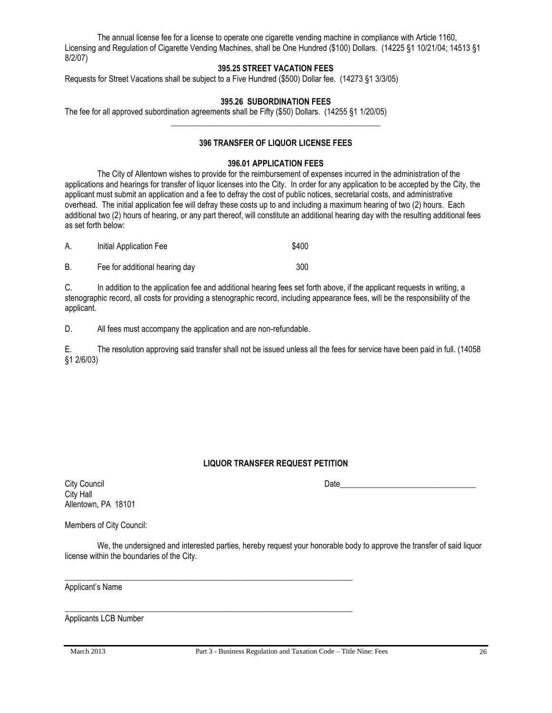The annual license fee for a license to operate one cigarette vending machine in compliance with Article 1160, Licensing and Regulation of Cigarette Vending Machines, shall be One Hundred (\$100) Dollars. (14225 §1 10/21/04; 14513 §1 8/2/07)

## **395.25 STREET VACATION FEES**

Requests for Street Vacations shall be subject to a Five Hundred (\$500) Dollar fee. (14273 §1 3/3/05)

## **395.26 SUBORDINATION FEES**

**\_\_\_\_\_\_\_\_\_\_\_\_\_\_\_\_\_\_\_\_\_\_\_\_\_\_\_\_\_\_\_\_\_\_\_\_\_\_\_\_\_\_\_\_\_\_\_\_\_\_\_**

The fee for all approved subordination agreements shall be Fifty (\$50) Dollars. (14255 §1 1/20/05)

## **396 TRANSFER OF LIQUOR LICENSE FEES**

#### **396.01 APPLICATION FEES**

The City of Allentown wishes to provide for the reimbursement of expenses incurred in the administration of the applications and hearings for transfer of liquor licenses into the City. In order for any application to be accepted by the City, the applicant must submit an application and a fee to defray the cost of public notices, secretarial costs, and administrative overhead. The initial application fee will defray these costs up to and including a maximum hearing of two (2) hours. Each additional two (2) hours of hearing, or any part thereof, will constitute an additional hearing day with the resulting additional fees as set forth below:

| А. | Initial Application Fee        | \$400 |
|----|--------------------------------|-------|
| B  | Fee for additional hearing day | 300   |

C. In addition to the application fee and additional hearing fees set forth above, if the applicant requests in writing, a stenographic record, all costs for providing a stenographic record, including appearance fees, will be the responsibility of the applicant.

D. All fees must accompany the application and are non-refundable.

E. The resolution approving said transfer shall not be issued unless all the fees for service have been paid in full. (14058 §1 2/6/03)

#### **LIQUOR TRANSFER REQUEST PETITION**

City Hall Allentown, PA 18101

City Council Date\_\_\_\_\_\_\_\_\_\_\_\_\_\_\_\_\_\_\_\_\_\_\_\_\_\_\_\_\_\_\_\_\_

Members of City Council:

We, the undersigned and interested parties, hereby request your honorable body to approve the transfer of said liquor license within the boundaries of the City.

\_\_\_\_\_\_\_\_\_\_\_\_\_\_\_\_\_\_\_\_\_\_\_\_\_\_\_\_\_\_\_\_\_\_\_\_\_\_\_\_\_\_\_\_\_\_\_\_\_\_\_\_\_\_\_\_\_\_\_\_\_\_\_\_\_\_\_\_\_\_

\_\_\_\_\_\_\_\_\_\_\_\_\_\_\_\_\_\_\_\_\_\_\_\_\_\_\_\_\_\_\_\_\_\_\_\_\_\_\_\_\_\_\_\_\_\_\_\_\_\_\_\_\_\_\_\_\_\_\_\_\_\_\_\_\_\_\_\_\_\_

Applicant's Name

Applicants LCB Number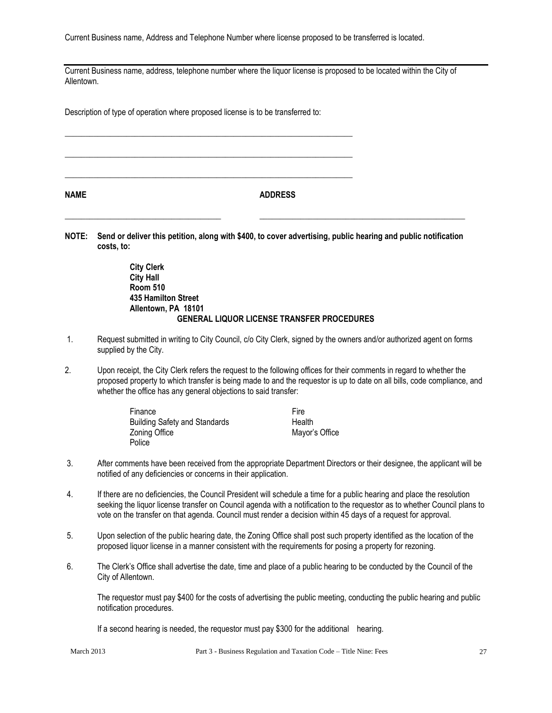Current Business name, Address and Telephone Number where license proposed to be transferred is located.

Current Business name, address, telephone number where the liquor license is proposed to be located within the City of Allentown.

Description of type of operation where proposed license is to be transferred to:

\_\_\_\_\_\_\_\_\_\_\_\_\_\_\_\_\_\_\_\_\_\_\_\_\_\_\_\_\_\_\_\_\_\_\_\_\_\_\_\_\_\_\_\_\_\_\_\_\_\_\_\_\_\_\_\_\_\_\_\_\_\_\_\_\_\_\_\_\_\_

\_\_\_\_\_\_\_\_\_\_\_\_\_\_\_\_\_\_\_\_\_\_\_\_\_\_\_\_\_\_\_\_\_\_\_\_\_\_\_\_\_\_\_\_\_\_\_\_\_\_\_\_\_\_\_\_\_\_\_\_\_\_\_\_\_\_\_\_\_\_

\_\_\_\_\_\_\_\_\_\_\_\_\_\_\_\_\_\_\_\_\_\_\_\_\_\_\_\_\_\_\_\_\_\_\_\_\_\_\_\_\_\_\_\_\_\_\_\_\_\_\_\_\_\_\_\_\_\_\_\_\_\_\_\_\_\_\_\_\_\_

**NAME ADDRESS**

**NOTE: Send or deliver this petition, along with \$400, to cover advertising, public hearing and public notification costs, to:**

\_\_\_\_\_\_\_\_\_\_\_\_\_\_\_\_\_\_\_\_\_\_\_\_\_\_\_\_\_\_\_\_\_\_\_\_\_\_ \_\_\_\_\_\_\_\_\_\_\_\_\_\_\_\_\_\_\_\_\_\_\_\_\_\_\_\_\_\_\_\_\_\_\_\_\_\_\_\_\_\_\_\_\_\_\_\_\_\_

**City Clerk City Hall Room 510 435 Hamilton Street Allentown, PA 18101 GENERAL LIQUOR LICENSE TRANSFER PROCEDURES**

- 1. Request submitted in writing to City Council, c/o City Clerk, signed by the owners and/or authorized agent on forms supplied by the City.
- 2. Upon receipt, the City Clerk refers the request to the following offices for their comments in regard to whether the proposed property to which transfer is being made to and the requestor is up to date on all bills, code compliance, and whether the office has any general objections to said transfer:

| Finance                              | Fire           |
|--------------------------------------|----------------|
| <b>Building Safety and Standards</b> | Health         |
| Zoning Office                        | Mayor's Office |
| Police                               |                |

- 3. After comments have been received from the appropriate Department Directors or their designee, the applicant will be notified of any deficiencies or concerns in their application.
- 4. If there are no deficiencies, the Council President will schedule a time for a public hearing and place the resolution seeking the liquor license transfer on Council agenda with a notification to the requestor as to whether Council plans to vote on the transfer on that agenda. Council must render a decision within 45 days of a request for approval.
- 5. Upon selection of the public hearing date, the Zoning Office shall post such property identified as the location of the proposed liquor license in a manner consistent with the requirements for posing a property for rezoning.
- 6. The Clerk's Office shall advertise the date, time and place of a public hearing to be conducted by the Council of the City of Allentown.

The requestor must pay \$400 for the costs of advertising the public meeting, conducting the public hearing and public notification procedures.

If a second hearing is needed, the requestor must pay \$300 for the additional hearing.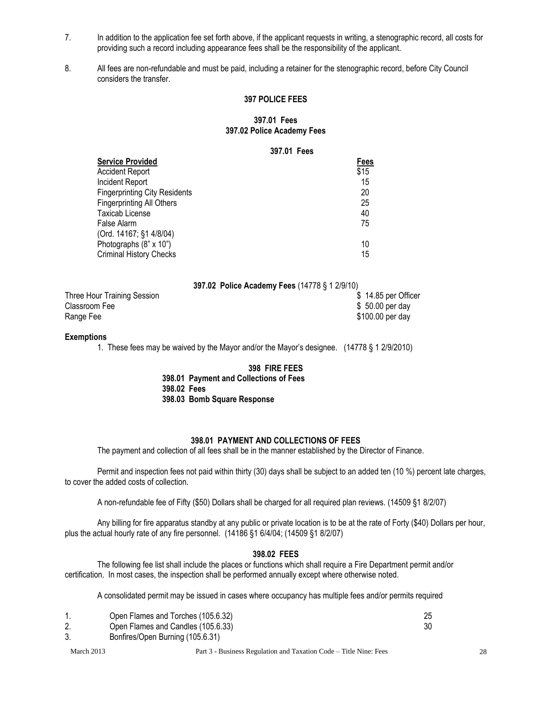- 7. In addition to the application fee set forth above, if the applicant requests in writing, a stenographic record, all costs for providing such a record including appearance fees shall be the responsibility of the applicant.
- 8. All fees are non-refundable and must be paid, including a retainer for the stenographic record, before City Council considers the transfer.

#### **397 POLICE FEES**

#### **397.01 Fees 397.02 Police Academy Fees**

**397.01 Fees**

#### **397.02 Police Academy Fees** (14778 § 1 2/9/10)

| Three Hour Training Session |  |  | \$14.85 per Officer |
|-----------------------------|--|--|---------------------|
| Classroom Fee               |  |  | $$50.00$ per day    |
| Range Fee                   |  |  | \$100.00 per day    |

#### **Exemptions**

1. These fees may be waived by the Mayor and/or the Mayor's designee. (14778 § 1 2/9/2010)

# **398 FIRE FEES**

**398.01 Payment and Collections of Fees 398.02 Fees 398.03 Bomb Square Response**

#### **398.01 PAYMENT AND COLLECTIONS OF FEES**

The payment and collection of all fees shall be in the manner established by the Director of Finance.

Permit and inspection fees not paid within thirty (30) days shall be subject to an added ten (10 %) percent late charges, to cover the added costs of collection.

A non-refundable fee of Fifty (\$50) Dollars shall be charged for all required plan reviews. (14509 §1 8/2/07)

Any billing for fire apparatus standby at any public or private location is to be at the rate of Forty (\$40) Dollars per hour, plus the actual hourly rate of any fire personnel. (14186 §1 6/4/04; (14509 §1 8/2/07)

#### **398.02 FEES**

The following fee list shall include the places or functions which shall require a Fire Department permit and/or certification. In most cases, the inspection shall be performed annually except where otherwise noted.

A consolidated permit may be issued in cases where occupancy has multiple fees and/or permits required

|    | Open Flames and Torches (105.6.32) |  |
|----|------------------------------------|--|
| Ζ. | Open Flames and Candles (105.6.33) |  |
|    | Bonfires/Open Burning (105.6.31)   |  |

March 2013 **Part 3 - Business Regulation and Taxation Code – Title Nine: Fees** 28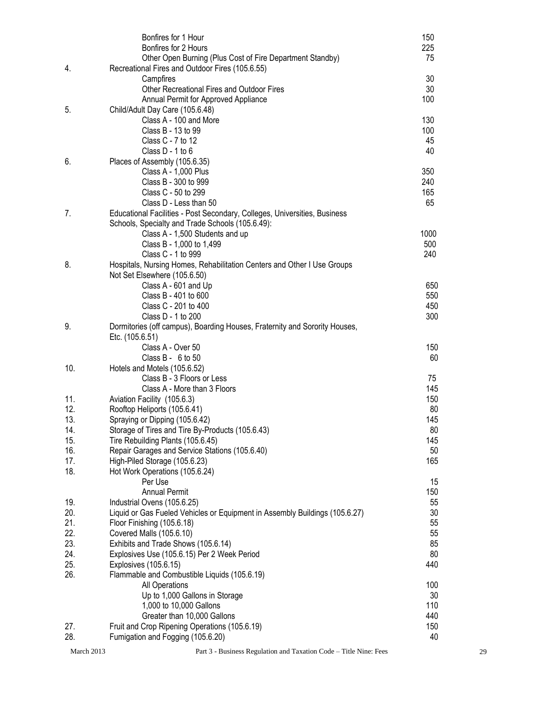|            | Bonfires for 1 Hour                                                         | 150  |    |
|------------|-----------------------------------------------------------------------------|------|----|
|            | Bonfires for 2 Hours                                                        | 225  |    |
|            | Other Open Burning (Plus Cost of Fire Department Standby)                   | 75   |    |
| 4.         | Recreational Fires and Outdoor Fires (105.6.55)                             |      |    |
|            | Campfires                                                                   | 30   |    |
|            | Other Recreational Fires and Outdoor Fires                                  | 30   |    |
|            | Annual Permit for Approved Appliance                                        | 100  |    |
| 5.         | Child/Adult Day Care (105.6.48)                                             |      |    |
|            | Class A - 100 and More                                                      | 130  |    |
|            | Class B - 13 to 99                                                          | 100  |    |
|            | Class C - 7 to 12                                                           | 45   |    |
|            | Class D - 1 to 6                                                            | 40   |    |
| 6.         | Places of Assembly (105.6.35)                                               |      |    |
|            |                                                                             | 350  |    |
|            | Class A - 1,000 Plus                                                        |      |    |
|            | Class B - 300 to 999                                                        | 240  |    |
|            | Class C - 50 to 299                                                         | 165  |    |
|            | Class D - Less than 50                                                      | 65   |    |
| 7.         | Educational Facilities - Post Secondary, Colleges, Universities, Business   |      |    |
|            | Schools, Specialty and Trade Schools (105.6.49):                            |      |    |
|            | Class A - 1,500 Students and up                                             | 1000 |    |
|            | Class B - 1,000 to 1,499                                                    | 500  |    |
|            | Class C - 1 to 999                                                          | 240  |    |
| 8.         | Hospitals, Nursing Homes, Rehabilitation Centers and Other I Use Groups     |      |    |
|            | Not Set Elsewhere (105.6.50)                                                |      |    |
|            | Class A - 601 and Up                                                        | 650  |    |
|            | Class B - 401 to 600                                                        | 550  |    |
|            | Class C - 201 to 400                                                        | 450  |    |
|            | Class D - 1 to 200                                                          | 300  |    |
| 9.         | Dormitories (off campus), Boarding Houses, Fraternity and Sorority Houses,  |      |    |
|            | Etc. (105.6.51)                                                             |      |    |
|            | Class A - Over 50                                                           | 150  |    |
|            | Class B - 6 to 50                                                           | 60   |    |
| 10.        | Hotels and Motels (105.6.52)                                                |      |    |
|            | Class B - 3 Floors or Less                                                  | 75   |    |
|            | Class A - More than 3 Floors                                                | 145  |    |
| 11.        | Aviation Facility (105.6.3)                                                 | 150  |    |
| 12.        | Rooftop Heliports (105.6.41)                                                | 80   |    |
|            |                                                                             |      |    |
| 13.        | Spraying or Dipping (105.6.42)                                              | 145  |    |
| 14.        | Storage of Tires and Tire By-Products (105.6.43)                            | 80   |    |
| 15.        | Tire Rebuilding Plants (105.6.45)                                           | 145  |    |
| 16.        | Repair Garages and Service Stations (105.6.40)                              | 50   |    |
| 17.        | High-Piled Storage (105.6.23)                                               | 165  |    |
| 18.        | Hot Work Operations (105.6.24)                                              |      |    |
|            | Per Use                                                                     | 15   |    |
|            | <b>Annual Permit</b>                                                        | 150  |    |
| 19.        | Industrial Ovens (105.6.25)                                                 | 55   |    |
| 20.        | Liquid or Gas Fueled Vehicles or Equipment in Assembly Buildings (105.6.27) | 30   |    |
| 21.        | Floor Finishing (105.6.18)                                                  | 55   |    |
| 22.        | Covered Malls (105.6.10)                                                    | 55   |    |
| 23.        | Exhibits and Trade Shows (105.6.14)                                         | 85   |    |
| 24.        | Explosives Use (105.6.15) Per 2 Week Period                                 | 80   |    |
| 25.        | Explosives (105.6.15)                                                       | 440  |    |
| 26.        | Flammable and Combustible Liquids (105.6.19)                                |      |    |
|            | All Operations                                                              | 100  |    |
|            | Up to 1,000 Gallons in Storage                                              | 30   |    |
|            | 1,000 to 10,000 Gallons                                                     | 110  |    |
|            | Greater than 10,000 Gallons                                                 | 440  |    |
| 27.        | Fruit and Crop Ripening Operations (105.6.19)                               | 150  |    |
| 28.        | Fumigation and Fogging (105.6.20)                                           | 40   |    |
|            |                                                                             |      |    |
| March 2013 | Part 3 - Business Regulation and Taxation Code - Title Nine: Fees           |      | 29 |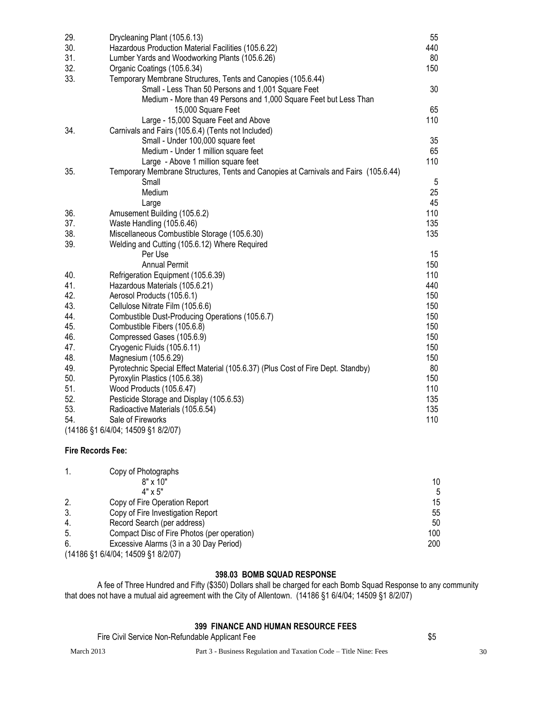| 29. | Drycleaning Plant (105.6.13)                                                        | 55  |
|-----|-------------------------------------------------------------------------------------|-----|
| 30. | Hazardous Production Material Facilities (105.6.22)                                 | 440 |
| 31. | Lumber Yards and Woodworking Plants (105.6.26)                                      | 80  |
| 32. | Organic Coatings (105.6.34)                                                         | 150 |
| 33. | Temporary Membrane Structures, Tents and Canopies (105.6.44)                        |     |
|     | Small - Less Than 50 Persons and 1,001 Square Feet                                  | 30  |
|     | Medium - More than 49 Persons and 1,000 Square Feet but Less Than                   |     |
|     | 15,000 Square Feet                                                                  | 65  |
|     | Large - 15,000 Square Feet and Above                                                | 110 |
| 34. | Carnivals and Fairs (105.6.4) (Tents not Included)                                  |     |
|     | Small - Under 100,000 square feet                                                   | 35  |
|     | Medium - Under 1 million square feet                                                | 65  |
|     | Large - Above 1 million square feet                                                 | 110 |
| 35. | Temporary Membrane Structures, Tents and Canopies at Carnivals and Fairs (105.6.44) |     |
|     | Small                                                                               | 5   |
|     | Medium                                                                              | 25  |
|     | Large                                                                               | 45  |
| 36. | Amusement Building (105.6.2)                                                        | 110 |
| 37. | Waste Handling (105.6.46)                                                           | 135 |
| 38. | Miscellaneous Combustible Storage (105.6.30)                                        | 135 |
| 39. | Welding and Cutting (105.6.12) Where Required                                       |     |
|     | Per Use                                                                             | 15  |
|     | <b>Annual Permit</b>                                                                | 150 |
| 40. | Refrigeration Equipment (105.6.39)                                                  | 110 |
| 41. | Hazardous Materials (105.6.21)                                                      | 440 |
| 42. | Aerosol Products (105.6.1)                                                          | 150 |
| 43. | Cellulose Nitrate Film (105.6.6)                                                    | 150 |
| 44. | Combustible Dust-Producing Operations (105.6.7)                                     | 150 |
| 45. | Combustible Fibers (105.6.8)                                                        | 150 |
| 46. | Compressed Gases (105.6.9)                                                          | 150 |
| 47. | Cryogenic Fluids (105.6.11)                                                         | 150 |
| 48. | Magnesium (105.6.29)                                                                | 150 |
| 49. | Pyrotechnic Special Effect Material (105.6.37) (Plus Cost of Fire Dept. Standby)    | 80  |
| 50. | Pyroxylin Plastics (105.6.38)                                                       | 150 |
| 51. | Wood Products (105.6.47)                                                            | 110 |
| 52. | Pesticide Storage and Display (105.6.53)                                            | 135 |
| 53. | Radioactive Materials (105.6.54)                                                    | 135 |
| 54. | Sale of Fireworks                                                                   | 110 |
|     | (14186 §1 6/4/04; 14509 §1 8/2/07)                                                  |     |

## **Fire Records Fee:**

|     | Copy of Photographs                                  |     |
|-----|------------------------------------------------------|-----|
|     | $8" \times 10"$                                      | 10  |
|     | $4" \times 5"$                                       |     |
| 2.  | Copy of Fire Operation Report                        | 15  |
| 3.  | Copy of Fire Investigation Report                    | 55  |
| 4.  | Record Search (per address)                          | 50  |
| -5. | Compact Disc of Fire Photos (per operation)          | 100 |
| -6. | Excessive Alarms (3 in a 30 Day Period)              | 200 |
|     | $(4A400 \text{ PA} C1A10A, AAF00 \text{ PA} B10107)$ |     |

## (14186 §1 6/4/04; 14509 §1 8/2/07)

## **398.03 BOMB SQUAD RESPONSE**

A fee of Three Hundred and Fifty (\$350) Dollars shall be charged for each Bomb Squad Response to any community that does not have a mutual aid agreement with the City of Allentown. (14186 §1 6/4/04; 14509 §1 8/2/07)

# **399 FINANCE AND HUMAN RESOURCE FEES**

Fire Civil Service Non-Refundable Applicant Fee \$5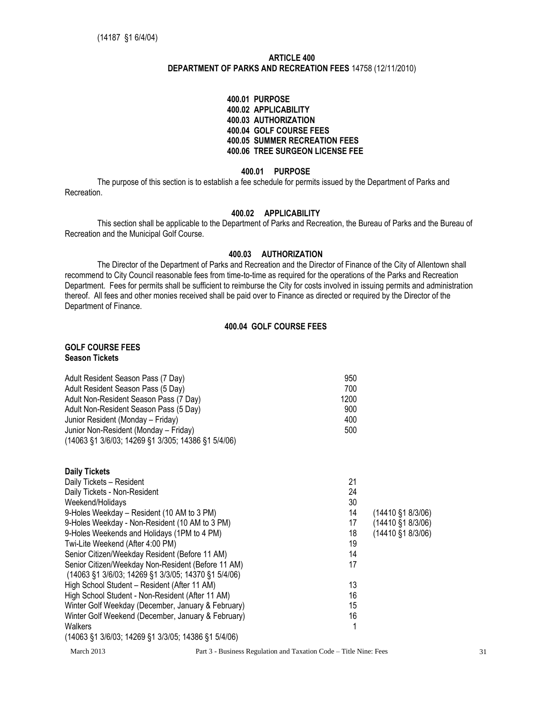## **ARTICLE 400 DEPARTMENT OF PARKS AND RECREATION FEES** 14758 (12/11/2010)

#### **400.01 PURPOSE 400.02 APPLICABILITY 400.03 AUTHORIZATION 400.04 GOLF COURSE FEES 400.05 SUMMER RECREATION FEES 400.06 TREE SURGEON LICENSE FEE**

#### **400.01 PURPOSE**

The purpose of this section is to establish a fee schedule for permits issued by the Department of Parks and Recreation.

## **400.02 APPLICABILITY**

This section shall be applicable to the Department of Parks and Recreation, the Bureau of Parks and the Bureau of Recreation and the Municipal Golf Course.

#### **400.03 AUTHORIZATION**

The Director of the Department of Parks and Recreation and the Director of Finance of the City of Allentown shall recommend to City Council reasonable fees from time-to-time as required for the operations of the Parks and Recreation Department. Fees for permits shall be sufficient to reimburse the City for costs involved in issuing permits and administration thereof. All fees and other monies received shall be paid over to Finance as directed or required by the Director of the Department of Finance.

## **400.04 GOLF COURSE FEES**

## **GOLF COURSE FEES Season Tickets**

| Adult Resident Season Pass (7 Day)                 | 950  |  |
|----------------------------------------------------|------|--|
| Adult Resident Season Pass (5 Day)                 | 700  |  |
| Adult Non-Resident Season Pass (7 Day)             | 1200 |  |
| Adult Non-Resident Season Pass (5 Day)             | 900  |  |
| Junior Resident (Monday – Friday)                  | 400  |  |
| Junior Non-Resident (Monday – Friday)              | 500  |  |
| (14063 §1 3/6/03; 14269 §1 3/305; 14386 §1 5/4/06) |      |  |

| <b>Daily Tickets</b>                                                                                                       |                                                                   |                             |
|----------------------------------------------------------------------------------------------------------------------------|-------------------------------------------------------------------|-----------------------------|
| Daily Tickets - Resident                                                                                                   | 21                                                                |                             |
| Daily Tickets - Non-Resident                                                                                               | 24                                                                |                             |
| Weekend/Holidays                                                                                                           | 30                                                                |                             |
| 9-Holes Weekday – Resident (10 AM to 3 PM)                                                                                 | 14                                                                | (14410 §1 8/3/06)           |
| 9-Holes Weekday - Non-Resident (10 AM to 3 PM)                                                                             | 17                                                                | $(14410 \text{ } $18/3/06)$ |
| 9-Holes Weekends and Holidays (1PM to 4 PM)                                                                                | 18                                                                | $(14410 \text{ } $18/3/06)$ |
| Twi-Lite Weekend (After 4:00 PM)                                                                                           | 19                                                                |                             |
| Senior Citizen/Weekday Resident (Before 11 AM)                                                                             | 14                                                                |                             |
| Senior Citizen/Weekday Non-Resident (Before 11 AM)                                                                         | 17                                                                |                             |
| $(14063 \overline{\S}1 \overline{3}/6/03; 14269 \overline{\S}1 \overline{3}/3/05; 14370 \overline{\S}1 \overline{5}/4/06)$ |                                                                   |                             |
| High School Student - Resident (After 11 AM)                                                                               | 13                                                                |                             |
| High School Student - Non-Resident (After 11 AM)                                                                           | 16                                                                |                             |
| Winter Golf Weekday (December, January & February)                                                                         | 15                                                                |                             |
| Winter Golf Weekend (December, January & February)                                                                         | 16                                                                |                             |
| Walkers                                                                                                                    |                                                                   |                             |
| $(14063 \xi1 \frac{3}{6}03; 14269 \xi1 \frac{3}{3}05; 14386 \xi1 \frac{5}{4}06)$                                           |                                                                   |                             |
| March 2013                                                                                                                 | Part 3 - Business Regulation and Taxation Code – Title Nine: Fees | 31                          |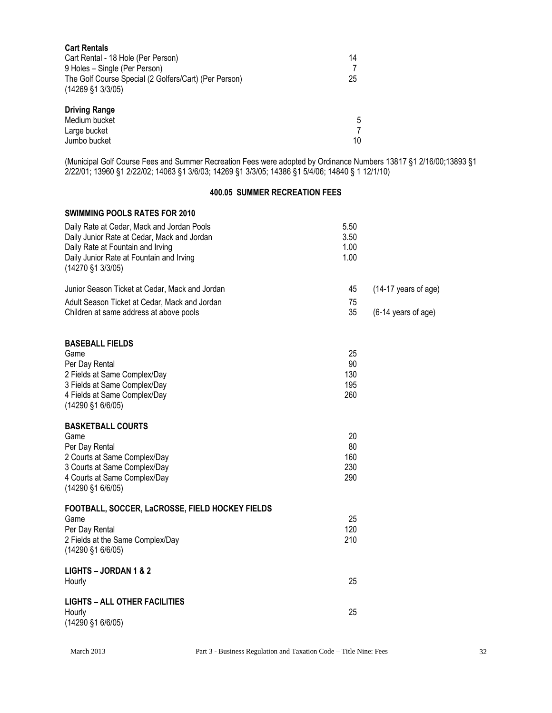| <b>Cart Rentals</b>                                   |    |
|-------------------------------------------------------|----|
| Cart Rental - 18 Hole (Per Person)                    | 14 |
| 9 Holes - Single (Per Person)                         |    |
| The Golf Course Special (2 Golfers/Cart) (Per Person) | 25 |
| $(14269 \text{ } $1 \text{ } 3/3/05)$                 |    |
| <b>Driving Range</b>                                  |    |
| Medium bucket                                         | 5  |
| Large bucket                                          |    |
| Jumbo bucket                                          | 10 |

(Municipal Golf Course Fees and Summer Recreation Fees were adopted by Ordinance Numbers 13817 §1 2/16/00;13893 §1 2/22/01; 13960 §1 2/22/02; 14063 §1 3/6/03; 14269 §1 3/3/05; 14386 §1 5/4/06; 14840 § 1 12/1/10)

#### **400.05 SUMMER RECREATION FEES**

### **SWIMMING POOLS RATES FOR 2010**

| Daily Rate at Cedar, Mack and Jordan Pools<br>Daily Junior Rate at Cedar, Mack and Jordan<br>Daily Rate at Fountain and Irving<br>Daily Junior Rate at Fountain and Irving<br>(14270 §1 3/3/05) | 5.50<br>3.50<br>1.00<br>1.00  |                      |
|-------------------------------------------------------------------------------------------------------------------------------------------------------------------------------------------------|-------------------------------|----------------------|
| Junior Season Ticket at Cedar, Mack and Jordan                                                                                                                                                  | 45                            | (14-17 years of age) |
| Adult Season Ticket at Cedar, Mack and Jordan<br>Children at same address at above pools                                                                                                        | 75<br>35                      | (6-14 years of age)  |
| <b>BASEBALL FIELDS</b><br>Game<br>Per Day Rental<br>2 Fields at Same Complex/Day<br>3 Fields at Same Complex/Day<br>4 Fields at Same Complex/Day<br>(14290 §1 6/6/05)                           | 25<br>90<br>130<br>195<br>260 |                      |
| <b>BASKETBALL COURTS</b><br>Game<br>Per Day Rental<br>2 Courts at Same Complex/Day<br>3 Courts at Same Complex/Day<br>4 Courts at Same Complex/Day<br>(14290 §1 6/6/05)                         | 20<br>80<br>160<br>230<br>290 |                      |
| FOOTBALL, SOCCER, LaCROSSE, FIELD HOCKEY FIELDS<br>Game<br>Per Day Rental<br>2 Fields at the Same Complex/Day<br>(14290 §1 6/6/05)                                                              | 25<br>120<br>210              |                      |
| LIGHTS - JORDAN 1 & 2<br>Hourly                                                                                                                                                                 | 25                            |                      |
| <b>LIGHTS - ALL OTHER FACILITIES</b><br>Hourly<br>(14290 §1 6/6/05)                                                                                                                             | 25                            |                      |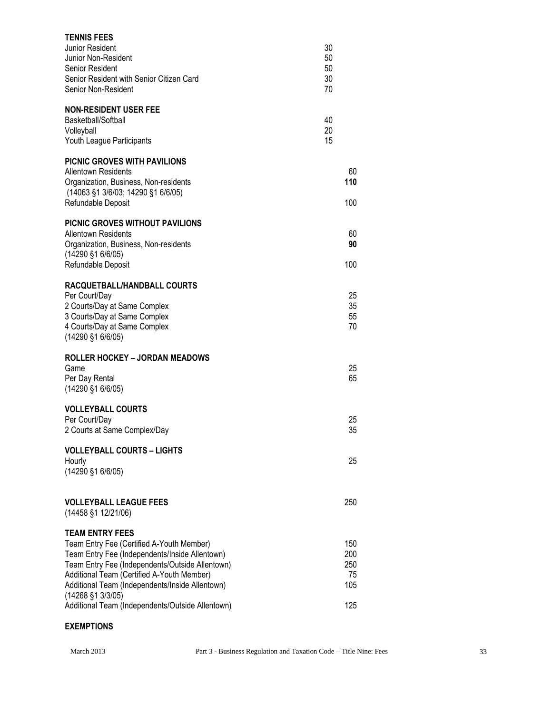| <b>TENNIS FEES</b><br>Junior Resident<br>Junior Non-Resident<br>Senior Resident<br>Senior Resident with Senior Citizen Card<br>Senior Non-Resident                                                                                                                                                                                                           | 30<br>50<br>50<br>30<br>70            |
|--------------------------------------------------------------------------------------------------------------------------------------------------------------------------------------------------------------------------------------------------------------------------------------------------------------------------------------------------------------|---------------------------------------|
| <b>NON-RESIDENT USER FEE</b><br>Basketball/Softball<br>Volleyball<br>Youth League Participants                                                                                                                                                                                                                                                               | 40<br>20<br>15                        |
| <b>PICNIC GROVES WITH PAVILIONS</b><br><b>Allentown Residents</b><br>Organization, Business, Non-residents<br>(14063 §1 3/6/03; 14290 §1 6/6/05)<br>Refundable Deposit                                                                                                                                                                                       | 60<br>110<br>100                      |
| PICNIC GROVES WITHOUT PAVILIONS<br>Allentown Residents<br>Organization, Business, Non-residents<br>$(14290 \, \text{S}1 \, 6/6/05)$<br>Refundable Deposit                                                                                                                                                                                                    | 60<br>90<br>100                       |
| RACQUETBALL/HANDBALL COURTS<br>Per Court/Day<br>2 Courts/Day at Same Complex<br>3 Courts/Day at Same Complex<br>4 Courts/Day at Same Complex<br>(14290 §1 6/6/05)                                                                                                                                                                                            | 25<br>35<br>55<br>70                  |
| <b>ROLLER HOCKEY - JORDAN MEADOWS</b><br>Game<br>Per Day Rental<br>(14290 §1 6/6/05)                                                                                                                                                                                                                                                                         | 25<br>65                              |
| <b>VOLLEYBALL COURTS</b><br>Per Court/Day<br>2 Courts at Same Complex/Day                                                                                                                                                                                                                                                                                    | 25<br>35                              |
| <b>VOLLEYBALL COURTS - LIGHTS</b><br>Hourly<br>(14290 §1 6/6/05)                                                                                                                                                                                                                                                                                             | 25                                    |
| <b>VOLLEYBALL LEAGUE FEES</b><br>(14458 §1 12/21/06)                                                                                                                                                                                                                                                                                                         | 250                                   |
| <b>TEAM ENTRY FEES</b><br>Team Entry Fee (Certified A-Youth Member)<br>Team Entry Fee (Independents/Inside Allentown)<br>Team Entry Fee (Independents/Outside Allentown)<br>Additional Team (Certified A-Youth Member)<br>Additional Team (Independents/Inside Allentown)<br>$(14268 \t{S}1 \t{3}/3/05)$<br>Additional Team (Independents/Outside Allentown) | 150<br>200<br>250<br>75<br>105<br>125 |

# **EXEMPTIONS**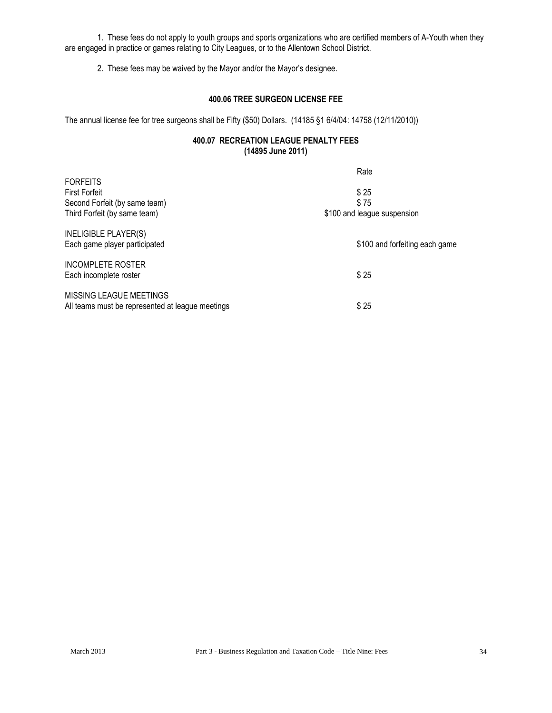1. These fees do not apply to youth groups and sports organizations who are certified members of A-Youth when they are engaged in practice or games relating to City Leagues, or to the Allentown School District.

2. These fees may be waived by the Mayor and/or the Mayor's designee.

## **400.06 TREE SURGEON LICENSE FEE**

The annual license fee for tree surgeons shall be Fifty (\$50) Dollars. (14185 §1 6/4/04: 14758 (12/11/2010))

## **400.07 RECREATION LEAGUE PENALTY FEES (14895 June 2011)**

|                                                  | Rate                           |
|--------------------------------------------------|--------------------------------|
| <b>FORFEITS</b>                                  |                                |
| <b>First Forfeit</b>                             | \$25                           |
| Second Forfeit (by same team)                    | \$75                           |
| Third Forfeit (by same team)                     | \$100 and league suspension    |
| <b>INELIGIBLE PLAYER(S)</b>                      |                                |
| Each game player participated                    | \$100 and forfeiting each game |
| <b>INCOMPLETE ROSTER</b>                         |                                |
| Each incomplete roster                           | \$25                           |
| MISSING LEAGUE MEETINGS                          |                                |
| All teams must be represented at league meetings | \$25                           |